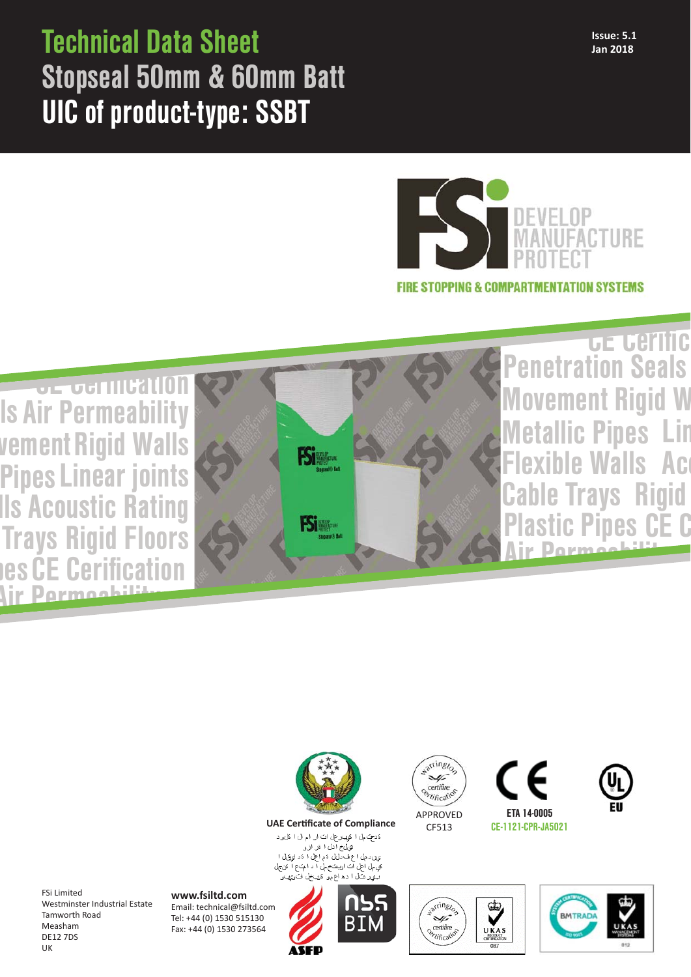## **Issue: 5.1** Technical Data Sheet **Jan 2018** Stopseal 50mm & 60mm Batt UIC of product-type: SSBT



**FIRE STOPPING & COMPARTMENTATION SYSTEMS** 

Air Perme GE GE CHILLEN Air Permeability ls vement Rigid Walls les CE Cerification lls Acoustic Rating Pipes Linear joints **Trays Rigid Floors** 



Air Pormoobility Movement Rigid W Penetration Seals Walls le Trays Lin Ac **stic Pipes Rigid** CE C **GE Gerific** tallic Pipes



**UAE Certificate of Compliance** 

دَدحِ کمل ا کوپ رحل ات ار ام ال ا کل و د کی۔<br>کوپلخ ادل ا کر از و ي.<br>ين د مل اع ف دل ن عم اعل ا عَد او وَل ا فيّ مِل احل آت اريبتَ م مِلْ آ د البَ ع اللَّا عَن جِلْ پ ہے ۔<br>بیوپر شال آ دھ آع موں ڈریبخل ات وی باق



CF513





warringzo Gİ. ¥ certifire<br>Certificate UKAS



FSi Limited Westminster Industrial Estate Tamworth Road Measham DE12 7DS UK

**www.fsiltd.com** Email: technical@fsiltd.com Tel: +44 (0) 1530 515130 Fax: +44 (0) 1530 273564

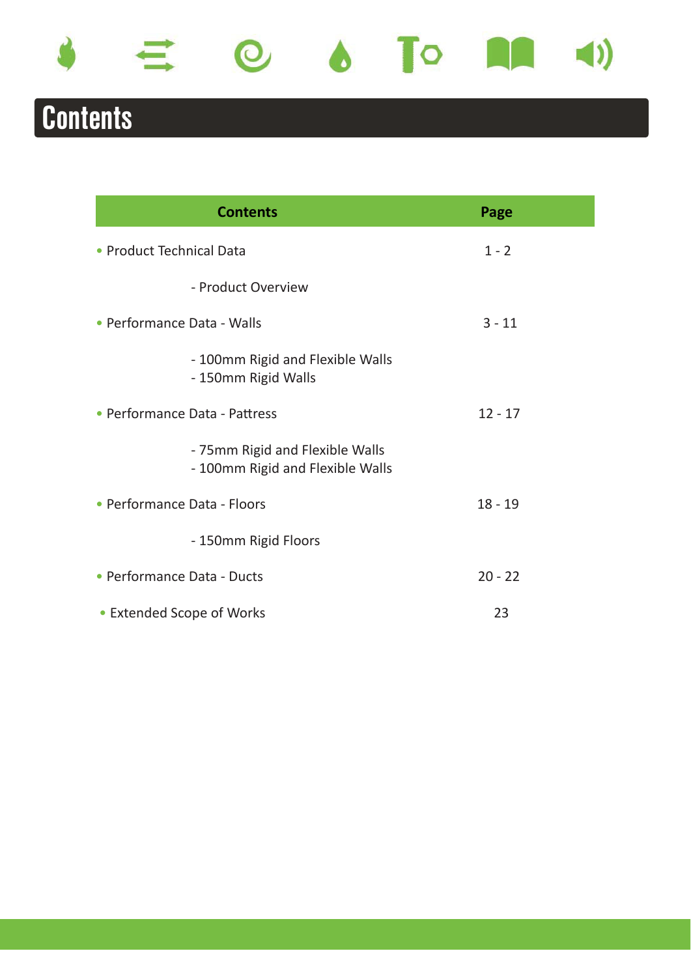

# Contents

| <b>Contents</b>                                                     | Page      |
|---------------------------------------------------------------------|-----------|
| • Product Technical Data                                            | $1 - 2$   |
| - Product Overview                                                  |           |
| • Performance Data - Walls                                          | $3 - 11$  |
| - 100mm Rigid and Flexible Walls<br>- 150mm Rigid Walls             |           |
| • Performance Data - Pattress                                       | $12 - 17$ |
| - 75mm Rigid and Flexible Walls<br>- 100mm Rigid and Flexible Walls |           |
| • Performance Data - Floors                                         | $18 - 19$ |
| - 150mm Rigid Floors                                                |           |
| • Performance Data - Ducts                                          | $20 - 22$ |
| • Extended Scope of Works                                           | 23        |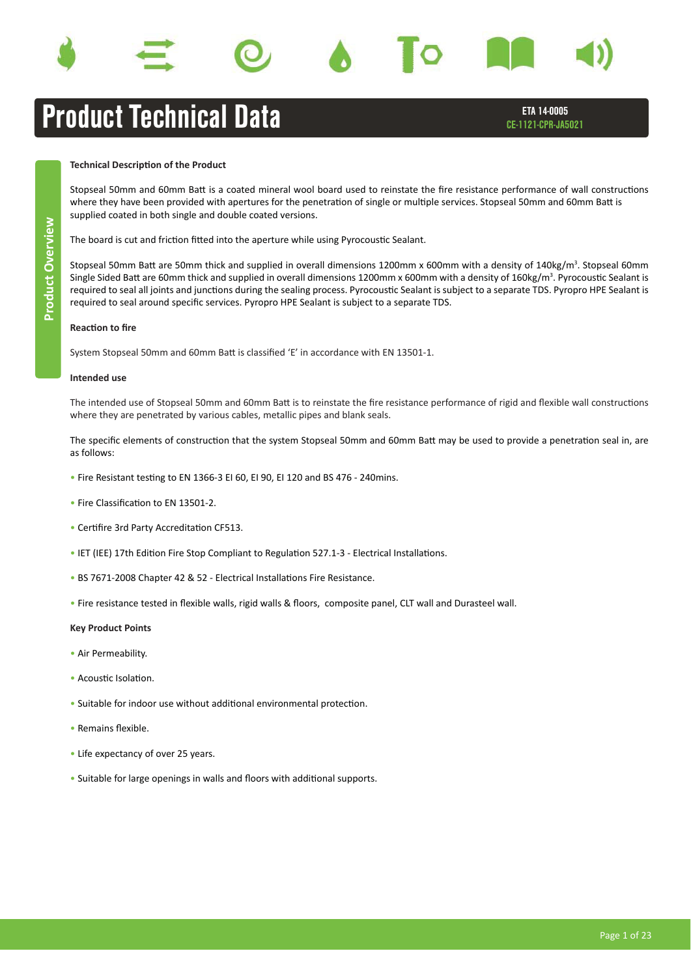









## Product Technical Data

ETA 14-0005 CE-1121-CPR-JA5021

## **Technical Description of the Product**

Stopseal 50mm and 60mm Batt is a coated mineral wool board used to reinstate the fire resistance performance of wall constructions where they have been provided with apertures for the penetration of single or multiple services. Stopseal 50mm and 60mm Batt is supplied coated in both single and double coated versions.

The board is cut and friction fitted into the aperture while using Pyrocoustic Sealant.

Stopseal 50mm Batt are 50mm thick and supplied in overall dimensions 1200mm x 600mm with a density of 140kg/m<sup>3</sup>. Stopseal 60mm Single Sided Batt are 60mm thick and supplied in overall dimensions 1200mm x 600mm with a density of 160kg/m $^3$ . Pyrocoustic Sealant is required to seal all joints and junctions during the sealing process. Pyrocoustic Sealant is subject to a separate TDS. Pyropro HPE Sealant is required to seal around specific services. Pyropro HPE Sealant is subject to a separate TDS.

### **Reaction to fire**

System Stopseal 50mm and 60mm Batt is classified 'E' in accordance with EN 13501-1.

### **Intended use**

The intended use of Stopseal 50mm and 60mm Batt is to reinstate the fire resistance performance of rigid and flexible wall constructions where they are penetrated by various cables, metallic pipes and blank seals.

The specific elements of construction that the system Stopseal 50mm and 60mm Batt may be used to provide a penetration seal in, are as follows:

- Fire Resistant testing to EN 1366-3 EI 60, EI 90, EI 120 and BS 476 240mins.
- Fire Classification to EN 13501-2.
- Certifire 3rd Party Accreditation CF513.
- IET (IEE) 17th Edition Fire Stop Compliant to Regulation 527.1-3 Electrical Installations.
- BS 7671-2008 Chapter 42 & 52 Electrical Installations Fire Resistance.
- Fire resistance tested in flexible walls, rigid walls & floors, composite panel, CLT wall and Durasteel wall.

### **Key Product Points**

- Air Permeability.
- Acoustic Isolation.
- Suitable for indoor use without additional environmental protection.
- $\bullet$  Remains flexible
- Life expectancy of over 25 years.
- Suitable for large openings in walls and floors with additional supports.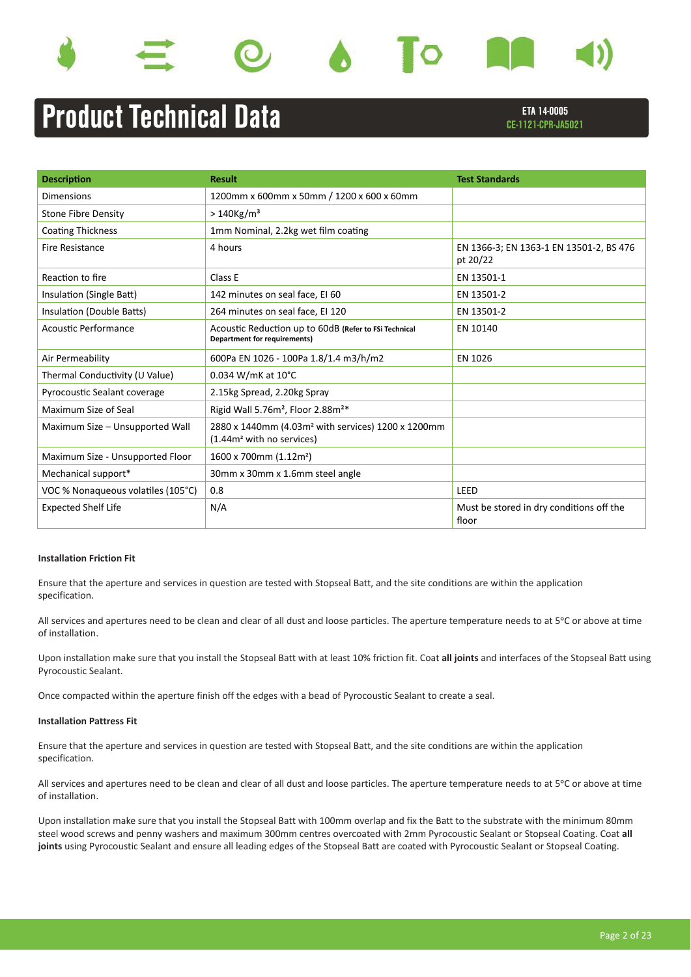









# Product Technical Data

ETA 14-0005 CE-1121-CPR-JA5021

| <b>Description</b>                 | <b>Result</b>                                                                                           | <b>Test Standards</b>                               |
|------------------------------------|---------------------------------------------------------------------------------------------------------|-----------------------------------------------------|
| <b>Dimensions</b>                  | 1200mm x 600mm x 50mm / 1200 x 600 x 60mm                                                               |                                                     |
| <b>Stone Fibre Density</b>         | $>140$ Kg/m <sup>3</sup>                                                                                |                                                     |
| <b>Coating Thickness</b>           | 1mm Nominal, 2.2kg wet film coating                                                                     |                                                     |
| <b>Fire Resistance</b>             | 4 hours                                                                                                 | EN 1366-3; EN 1363-1 EN 13501-2, BS 476<br>pt 20/22 |
| Reaction to fire                   | Class E                                                                                                 | EN 13501-1                                          |
| Insulation (Single Batt)           | 142 minutes on seal face, EI 60                                                                         | EN 13501-2                                          |
| Insulation (Double Batts)          | 264 minutes on seal face, EI 120                                                                        | EN 13501-2                                          |
| Acoustic Performance               | Acoustic Reduction up to 60dB (Refer to FSi Technical<br><b>Department for requirements)</b>            | EN 10140                                            |
| Air Permeability                   | 600Pa EN 1026 - 100Pa 1.8/1.4 m3/h/m2                                                                   | EN 1026                                             |
| Thermal Conductivity (U Value)     | 0.034 W/mK at 10°C                                                                                      |                                                     |
| Pyrocoustic Sealant coverage       | 2.15kg Spread, 2.20kg Spray                                                                             |                                                     |
| Maximum Size of Seal               | Rigid Wall 5.76m <sup>2</sup> , Floor 2.88m <sup>2*</sup>                                               |                                                     |
| Maximum Size - Unsupported Wall    | 2880 x 1440mm (4.03m <sup>2</sup> with services) 1200 x 1200mm<br>(1.44m <sup>2</sup> with no services) |                                                     |
| Maximum Size - Unsupported Floor   | 1600 x 700mm (1.12m <sup>2</sup> )                                                                      |                                                     |
| Mechanical support*                | 30mm x 30mm x 1.6mm steel angle                                                                         |                                                     |
| VOC % Nonaqueous volatiles (105°C) | 0.8                                                                                                     | LEED                                                |
| <b>Expected Shelf Life</b>         | N/A                                                                                                     | Must be stored in dry conditions off the<br>floor   |

### **Installation Friction Fit**

Ensure that the aperture and services in question are tested with Stopseal Batt, and the site conditions are within the application specification.

All services and apertures need to be clean and clear of all dust and loose particles. The aperture temperature needs to at 5<sup>o</sup>C or above at time of installation.

Upon installation make sure that you install the Stopseal Batt with at least 10% friction fit. Coat **all joints** and interfaces of the Stopseal Batt using Pyrocoustic Sealant.

Once compacted within the aperture finish off the edges with a bead of Pyrocoustic Sealant to create a seal.

### **Installation Pattress Fit**

Ensure that the aperture and services in question are tested with Stopseal Batt, and the site conditions are within the application specification.

All services and apertures need to be clean and clear of all dust and loose particles. The aperture temperature needs to at 5<sup>o</sup>C or above at time of installation.

Upon installation make sure that you install the Stopseal Batt with 100mm overlap and fix the Batt to the substrate with the minimum 80mm steel wood screws and penny washers and maximum 300mm centres overcoated with 2mm Pyrocoustic Sealant or Stopseal Coating. Coat **all joints** using Pyrocoustic Sealant and ensure all leading edges of the Stopseal Batt are coated with Pyrocoustic Sealant or Stopseal Coating.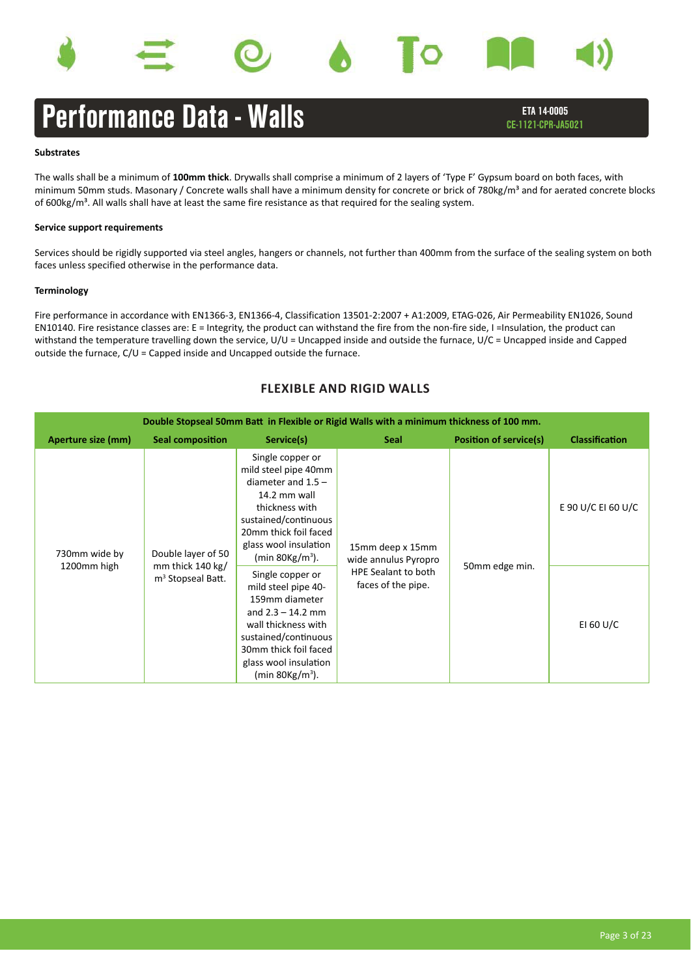





ETA 14-0005 CE-1121-CPR-JA5021

### **Substrates**

The walls shall be a minimum of **100mm thick**. Drywalls shall comprise a minimum of 2 layers of 'Type F' Gypsum board on both faces, with minimum 50mm studs. Masonary / Concrete walls shall have a minimum density for concrete or brick of 780kg/m<sup>3</sup> and for aerated concrete blocks of  $600\text{kg/m}^3$ . All walls shall have at least the same fire resistance as that required for the sealing system.

### **Service support requirements**

Services should be rigidly supported via steel angles, hangers or channels, not further than 400mm from the surface of the sealing system on both faces unless specified otherwise in the performance data.

### **Terminology**

Fire performance in accordance with EN1366-3, EN1366-4, Classification 13501-2:2007 + A1:2009, ETAG-026, Air Permeability EN1026, Sound EN10140. Fire resistance classes are: E = Integrity, the product can withstand the fire from the non-fire side, I =Insulation, the product can withstand the temperature travelling down the service, U/U = Uncapped inside and outside the furnace, U/C = Uncapped inside and Capped outside the furnace, C/U = Capped inside and Uncapped outside the furnace.

| Double Stopseal 50mm Batt in Flexible or Rigid Walls with a minimum thickness of 100 mm. |                                          |                                                                                                                                                                                                                  |                                           |                               |                       |  |  |  |
|------------------------------------------------------------------------------------------|------------------------------------------|------------------------------------------------------------------------------------------------------------------------------------------------------------------------------------------------------------------|-------------------------------------------|-------------------------------|-----------------------|--|--|--|
| Aperture size (mm)                                                                       | <b>Seal composition</b>                  | Service(s)                                                                                                                                                                                                       | <b>Seal</b>                               | <b>Position of service(s)</b> | <b>Classification</b> |  |  |  |
| 730mm wide by<br>1200mm high                                                             | Double layer of 50<br>mm thick $140$ kg/ | Single copper or<br>mild steel pipe 40mm<br>diameter and $1.5 -$<br>14.2 mm wall<br>thickness with<br>sustained/continuous<br>20mm thick foil faced<br>glass wool insulation<br>(min $80\mathrm{kg/m^3}$ ).      | 15mm deep x 15mm<br>wide annulus Pyropro  | 50mm edge min.                | E 90 U/C EI 60 U/C    |  |  |  |
|                                                                                          | m <sup>3</sup> Stopseal Batt.            | Single copper or<br>mild steel pipe 40-<br>159mm diameter<br>and $2.3 - 14.2$ mm<br>wall thickness with<br>sustained/continuous<br>30mm thick foil faced<br>glass wool insulation<br>(min $80\mathrm{kg/m^3}$ ). | HPE Sealant to both<br>faces of the pipe. |                               | EI 60 U/C             |  |  |  |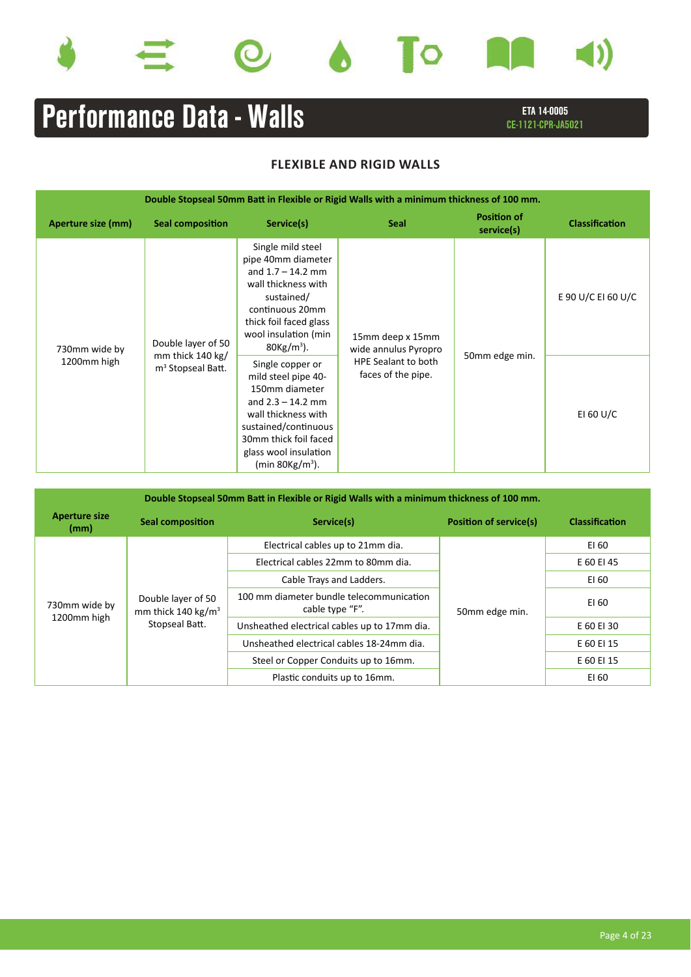









# ETA 14-0005 **Performance Data - Walls** Examplement CE-1121-CPR-JA5021

| Double Stopseal 50mm Batt in Flexible or Rigid Walls with a minimum thickness of 100 mm. |                                                                         |                                                                                                                                                                                                                           |                                                                                              |                                  |                       |  |  |  |
|------------------------------------------------------------------------------------------|-------------------------------------------------------------------------|---------------------------------------------------------------------------------------------------------------------------------------------------------------------------------------------------------------------------|----------------------------------------------------------------------------------------------|----------------------------------|-----------------------|--|--|--|
| Aperture size (mm)                                                                       | <b>Seal composition</b>                                                 | Service(s)                                                                                                                                                                                                                | <b>Seal</b>                                                                                  | <b>Position of</b><br>service(s) | <b>Classification</b> |  |  |  |
| 730mm wide by<br>1200mm high                                                             | Double layer of 50<br>mm thick 140 kg/<br>m <sup>3</sup> Stopseal Batt. | Single mild steel<br>pipe 40mm diameter<br>and $1.7 - 14.2$ mm<br>wall thickness with<br>sustained/<br>continuous 20mm<br>thick foil faced glass<br>wool insulation (min<br>$80$ Kg/m <sup>3</sup> ).<br>Single copper or | 15mm deep x 15mm<br>wide annulus Pyropro<br><b>HPE Sealant to both</b><br>faces of the pipe. | 50mm edge min.                   | E 90 U/C EI 60 U/C    |  |  |  |
|                                                                                          |                                                                         | mild steel pipe 40-<br>150mm diameter<br>and $2.3 - 14.2$ mm<br>wall thickness with<br>sustained/continuous<br>30mm thick foil faced<br>glass wool insulation<br>(min 80 $Kg/m^3$ ).                                      |                                                                                              |                                  | EI 60 U/C             |  |  |  |

| Double Stopseal 50mm Batt in Flexible or Rigid Walls with a minimum thickness of 100 mm. |                                                                        |                                                             |                               |                       |  |  |  |  |  |
|------------------------------------------------------------------------------------------|------------------------------------------------------------------------|-------------------------------------------------------------|-------------------------------|-----------------------|--|--|--|--|--|
| <b>Aperture size</b><br>(mm)                                                             | <b>Seal composition</b>                                                | Service(s)                                                  | <b>Position of service(s)</b> | <b>Classification</b> |  |  |  |  |  |
| 730mm wide by                                                                            |                                                                        | Electrical cables up to 21mm dia.                           |                               | EI 60                 |  |  |  |  |  |
|                                                                                          |                                                                        | Electrical cables 22mm to 80mm dia.                         |                               | E 60 EI 45            |  |  |  |  |  |
|                                                                                          | Double layer of 50<br>mm thick 140 kg/m <sup>3</sup><br>Stopseal Batt. | Cable Trays and Ladders.                                    |                               | EI 60                 |  |  |  |  |  |
|                                                                                          |                                                                        | 100 mm diameter bundle telecommunication<br>cable type "F". | 50mm edge min.                | EI 60                 |  |  |  |  |  |
| 1200mm high                                                                              |                                                                        | Unsheathed electrical cables up to 17mm dia.                |                               | E 60 EI 30            |  |  |  |  |  |
|                                                                                          |                                                                        | Unsheathed electrical cables 18-24mm dia.                   |                               | E 60 EI 15            |  |  |  |  |  |
|                                                                                          |                                                                        | Steel or Copper Conduits up to 16mm.                        |                               | E 60 EI 15            |  |  |  |  |  |
|                                                                                          |                                                                        | Plastic conduits up to 16mm.                                |                               | EI 60                 |  |  |  |  |  |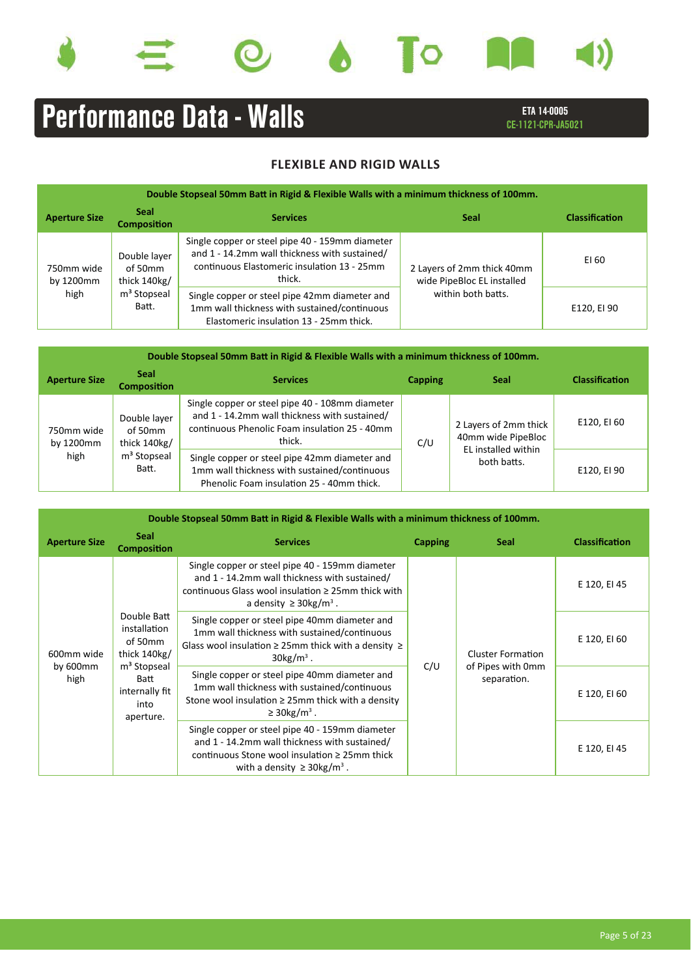









ETA 14-0005 CE-1121-CPR-JA5021

| Double Stopseal 50mm Batt in Rigid & Flexible Walls with a minimum thickness of 100mm. |                                         |                                                                                                                                                           |                                                          |                       |  |  |  |  |  |
|----------------------------------------------------------------------------------------|-----------------------------------------|-----------------------------------------------------------------------------------------------------------------------------------------------------------|----------------------------------------------------------|-----------------------|--|--|--|--|--|
| <b>Aperture Size</b>                                                                   | <b>Seal</b><br><b>Composition</b>       | <b>Services</b>                                                                                                                                           | <b>Seal</b>                                              | <b>Classification</b> |  |  |  |  |  |
| 750mm wide<br>by 1200mm                                                                | Double layer<br>of 50mm<br>thick 140kg/ | Single copper or steel pipe 40 - 159mm diameter<br>and 1 - 14.2mm wall thickness with sustained/<br>continuous Elastomeric insulation 13 - 25mm<br>thick. | 2 Layers of 2mm thick 40mm<br>wide PipeBloc EL installed | EI 60                 |  |  |  |  |  |
| high                                                                                   | m <sup>3</sup> Stopseal<br>Batt.        | Single copper or steel pipe 42mm diameter and<br>1mm wall thickness with sustained/continuous<br>Elastomeric insulation 13 - 25mm thick.                  | within both batts.                                       | E120, EI 90           |  |  |  |  |  |

| Double Stopseal 50mm Batt in Rigid & Flexible Walls with a minimum thickness of 100mm. |                                         |                                                                                                                                                             |                |                                             |                       |  |  |  |  |  |
|----------------------------------------------------------------------------------------|-----------------------------------------|-------------------------------------------------------------------------------------------------------------------------------------------------------------|----------------|---------------------------------------------|-----------------------|--|--|--|--|--|
| <b>Aperture Size</b>                                                                   | <b>Seal</b><br><b>Composition</b>       | <b>Services</b>                                                                                                                                             | <b>Capping</b> | <b>Seal</b>                                 | <b>Classification</b> |  |  |  |  |  |
| 750mm wide<br>by 1200mm                                                                | Double layer<br>of 50mm<br>thick 140kg/ | Single copper or steel pipe 40 - 108mm diameter<br>and 1 - 14.2mm wall thickness with sustained/<br>continuous Phenolic Foam insulation 25 - 40mm<br>thick. | C/U            | 2 Layers of 2mm thick<br>40mm wide PipeBloc | E120, EI 60           |  |  |  |  |  |
| high                                                                                   | m <sup>3</sup> Stopseal<br>Batt.        | Single copper or steel pipe 42mm diameter and<br>1mm wall thickness with sustained/continuous<br>Phenolic Foam insulation 25 - 40mm thick.                  |                | EL installed within<br>both batts.          | E120, EI 90           |  |  |  |  |  |

| Double Stopseal 50mm Batt in Rigid & Flexible Walls with a minimum thickness of 100mm. |                                                                                                                                    |                                                                                                                                                                                                        |         |                                                              |                       |  |  |  |  |
|----------------------------------------------------------------------------------------|------------------------------------------------------------------------------------------------------------------------------------|--------------------------------------------------------------------------------------------------------------------------------------------------------------------------------------------------------|---------|--------------------------------------------------------------|-----------------------|--|--|--|--|
| <b>Aperture Size</b>                                                                   | <b>Seal</b><br><b>Composition</b>                                                                                                  | <b>Services</b>                                                                                                                                                                                        | Capping | <b>Seal</b>                                                  | <b>Classification</b> |  |  |  |  |
| 600mm wide<br>by $600$ mm<br>high                                                      | Double Batt<br>installation<br>of 50mm<br>thick $140kg/$<br>m <sup>3</sup> Stopseal<br>Batt<br>internally fit<br>into<br>aperture. | Single copper or steel pipe 40 - 159mm diameter<br>and 1 - 14.2mm wall thickness with sustained/<br>continuous Glass wool insulation $\geq 25$ mm thick with<br>a density $\geq$ 30kg/m <sup>3</sup> . |         |                                                              | E 120, EI 45          |  |  |  |  |
|                                                                                        |                                                                                                                                    | Single copper or steel pipe 40mm diameter and<br>1mm wall thickness with sustained/continuous<br>Glass wool insulation $\geq$ 25mm thick with a density $\geq$<br>$30\mathrm{kg/m}^3$ .                |         | <b>Cluster Formation</b><br>of Pipes with 0mm<br>separation. | E 120, EI 60          |  |  |  |  |
|                                                                                        |                                                                                                                                    | Single copper or steel pipe 40mm diameter and<br>1mm wall thickness with sustained/continuous<br>Stone wool insulation $\geq$ 25mm thick with a density<br>$\geq$ 30kg/m <sup>3</sup> .                | C/U     |                                                              | E 120, EI 60          |  |  |  |  |
|                                                                                        |                                                                                                                                    | Single copper or steel pipe 40 - 159mm diameter<br>and 1 - 14.2mm wall thickness with sustained/<br>continuous Stone wool insulation $\geq 25$ mm thick<br>with a density $\geq$ 30kg/m <sup>3</sup> . |         |                                                              | E 120, EI 45          |  |  |  |  |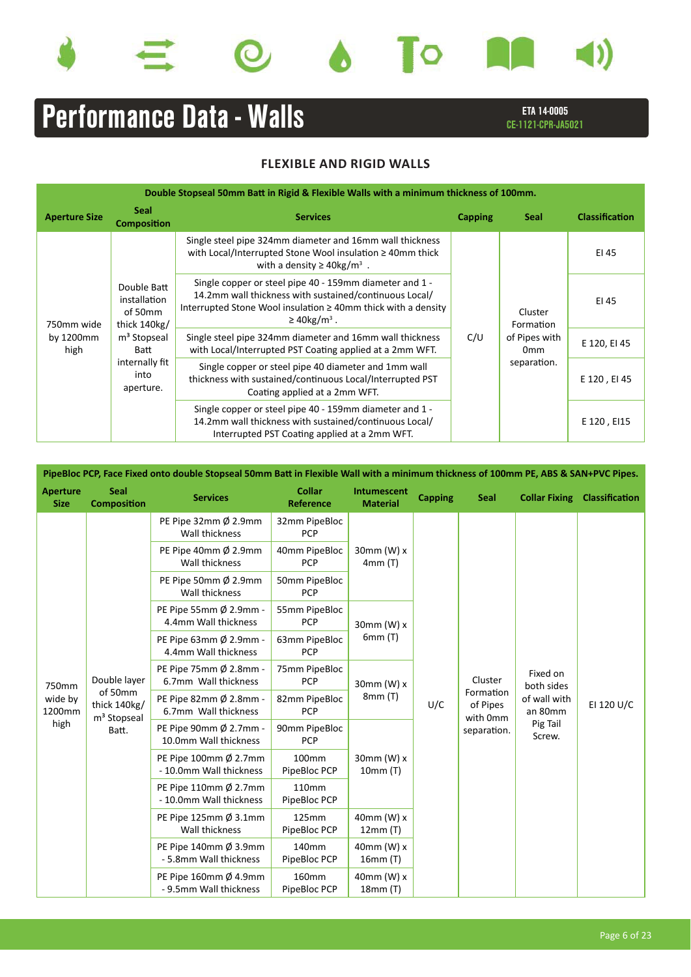









ETA 14-0005 CE-1121-CPR-JA5021

| Double Stopseal 50mm Batt in Rigid & Flexible Walls with a minimum thickness of 100mm. |                                                                                                                                  |                                                                                                                                                                                                                          |                |                                                                         |                       |  |  |  |  |  |
|----------------------------------------------------------------------------------------|----------------------------------------------------------------------------------------------------------------------------------|--------------------------------------------------------------------------------------------------------------------------------------------------------------------------------------------------------------------------|----------------|-------------------------------------------------------------------------|-----------------------|--|--|--|--|--|
| <b>Aperture Size</b>                                                                   | <b>Seal</b><br><b>Composition</b>                                                                                                | <b>Services</b>                                                                                                                                                                                                          | <b>Capping</b> | Seal                                                                    | <b>Classification</b> |  |  |  |  |  |
| 750mm wide                                                                             | Double Batt<br>installation<br>of 50mm<br>thick 140kg/<br>m <sup>3</sup> Stopseal<br>Batt<br>internally fit<br>into<br>aperture. | Single steel pipe 324mm diameter and 16mm wall thickness<br>with Local/Interrupted Stone Wool insulation $\geq 40$ mm thick<br>with a density $\geq$ 40kg/m <sup>3</sup> .                                               | C/U            |                                                                         | EI 45                 |  |  |  |  |  |
|                                                                                        |                                                                                                                                  | Single copper or steel pipe 40 - 159mm diameter and 1 -<br>14.2mm wall thickness with sustained/continuous Local/<br>Interrupted Stone Wool insulation $\geq 40$ mm thick with a density<br>$\geq$ 40kg/m <sup>3</sup> . |                | Cluster<br>Formation<br>of Pipes with<br>0 <sub>mm</sub><br>separation. | EI 45                 |  |  |  |  |  |
| by 1200mm<br>high                                                                      |                                                                                                                                  | Single steel pipe 324mm diameter and 16mm wall thickness<br>with Local/Interrupted PST Coating applied at a 2mm WFT.                                                                                                     |                |                                                                         | E 120, EI 45          |  |  |  |  |  |
|                                                                                        |                                                                                                                                  | Single copper or steel pipe 40 diameter and 1mm wall<br>thickness with sustained/continuous Local/Interrupted PST<br>Coating applied at a 2mm WFT.                                                                       |                |                                                                         | E 120, EI 45          |  |  |  |  |  |
|                                                                                        |                                                                                                                                  | Single copper or steel pipe 40 - 159mm diameter and 1 -<br>14.2mm wall thickness with sustained/continuous Local/<br>Interrupted PST Coating applied at a 2mm WFT.                                                       |                |                                                                         | E 120, EI15           |  |  |  |  |  |

| PipeBloc PCP, Face Fixed onto double Stopseal 50mm Batt in Flexible Wall with a minimum thickness of 100mm PE, ABS & SAN+PVC Pipes. |                                                    |                                                  |                                   |                                       |                |                                   |                         |                       |  |  |  |  |  |             |                    |  |  |  |  |  |         |                        |  |
|-------------------------------------------------------------------------------------------------------------------------------------|----------------------------------------------------|--------------------------------------------------|-----------------------------------|---------------------------------------|----------------|-----------------------------------|-------------------------|-----------------------|--|--|--|--|--|-------------|--------------------|--|--|--|--|--|---------|------------------------|--|
| <b>Aperture</b><br><b>Size</b>                                                                                                      | <b>Seal</b><br><b>Composition</b>                  | <b>Services</b>                                  | <b>Collar</b><br><b>Reference</b> | <b>Intumescent</b><br><b>Material</b> | <b>Capping</b> | <b>Seal</b>                       | <b>Collar Fixing</b>    | <b>Classification</b> |  |  |  |  |  |             |                    |  |  |  |  |  |         |                        |  |
|                                                                                                                                     |                                                    | PE Pipe 32mm Ø 2.9mm<br>Wall thickness           | 32mm PipeBloc<br>PCP              |                                       |                |                                   |                         |                       |  |  |  |  |  |             |                    |  |  |  |  |  |         |                        |  |
|                                                                                                                                     |                                                    | PE Pipe 40mm Ø 2.9mm<br>Wall thickness           | 40mm PipeBloc<br><b>PCP</b>       | $30$ mm $(W)$ x<br>4mm(T)             |                |                                   |                         |                       |  |  |  |  |  |             |                    |  |  |  |  |  |         |                        |  |
|                                                                                                                                     |                                                    | PE Pipe 50mm Ø 2.9mm<br>Wall thickness           | 50mm PipeBloc<br><b>PCP</b>       |                                       |                |                                   |                         |                       |  |  |  |  |  |             |                    |  |  |  |  |  |         |                        |  |
|                                                                                                                                     |                                                    | PE Pipe 55mm Ø 2.9mm -<br>4.4mm Wall thickness   | 55mm PipeBloc<br><b>PCP</b>       | 30mm (W) $x$                          |                |                                   |                         |                       |  |  |  |  |  |             |                    |  |  |  |  |  |         |                        |  |
|                                                                                                                                     |                                                    | PE Pipe 63mm Ø 2.9mm -<br>4.4mm Wall thickness   | 63mm PipeBloc<br><b>PCP</b>       | 6mm(T)                                |                |                                   |                         |                       |  |  |  |  |  |             |                    |  |  |  |  |  |         |                        |  |
| 750mm                                                                                                                               | Double layer                                       | PE Pipe 75mm Ø 2.8mm -<br>6.7mm Wall thickness   | 75mm PipeBloc<br><b>PCP</b>       | 30mm (W) x                            |                |                                   |                         |                       |  |  |  |  |  |             |                    |  |  |  |  |  | Cluster | Fixed on<br>both sides |  |
| wide by<br>1200mm                                                                                                                   | of 50mm<br>thick 140kg/<br>m <sup>3</sup> Stopseal | PE Pipe 82mm Ø 2.8mm -<br>6.7mm Wall thickness   | 82mm PipeBloc<br><b>PCP</b>       | 8mm (T)                               | U/C            | Formation<br>of Pipes<br>with 0mm | of wall with<br>an 80mm | EI 120 U/C            |  |  |  |  |  |             |                    |  |  |  |  |  |         |                        |  |
| high                                                                                                                                | Batt.                                              | PE Pipe 90mm Ø 2.7mm -<br>10.0mm Wall thickness  | 90mm PipeBloc<br><b>PCP</b>       | $30$ mm $(W)$ x<br>10mm(T)            |                |                                   |                         |                       |  |  |  |  |  | separation. | Pig Tail<br>Screw. |  |  |  |  |  |         |                        |  |
|                                                                                                                                     |                                                    | PE Pipe 100mm Ø 2.7mm<br>- 10.0mm Wall thickness | 100mm<br>PipeBloc PCP             |                                       |                |                                   |                         |                       |  |  |  |  |  |             |                    |  |  |  |  |  |         |                        |  |
|                                                                                                                                     |                                                    | PE Pipe 110mm Ø 2.7mm<br>- 10.0mm Wall thickness | 110mm<br>PipeBloc PCP             |                                       |                |                                   |                         |                       |  |  |  |  |  |             |                    |  |  |  |  |  |         |                        |  |
|                                                                                                                                     |                                                    | PE Pipe 125mm Ø 3.1mm<br>Wall thickness          | 125mm<br>PipeBloc PCP             | 40mm (W) x<br>12mm(T)                 |                |                                   |                         |                       |  |  |  |  |  |             |                    |  |  |  |  |  |         |                        |  |
|                                                                                                                                     |                                                    | PE Pipe 140mm Ø 3.9mm<br>- 5.8mm Wall thickness  | 140mm<br>PipeBloc PCP             | $40$ mm $(W)$ x<br>16mm(T)            |                |                                   |                         |                       |  |  |  |  |  |             |                    |  |  |  |  |  |         |                        |  |
|                                                                                                                                     |                                                    | PE Pipe 160mm Ø 4.9mm<br>- 9.5mm Wall thickness  | 160mm<br>PipeBloc PCP             | $40$ mm $(W)$ x<br>18mm(T)            |                |                                   |                         |                       |  |  |  |  |  |             |                    |  |  |  |  |  |         |                        |  |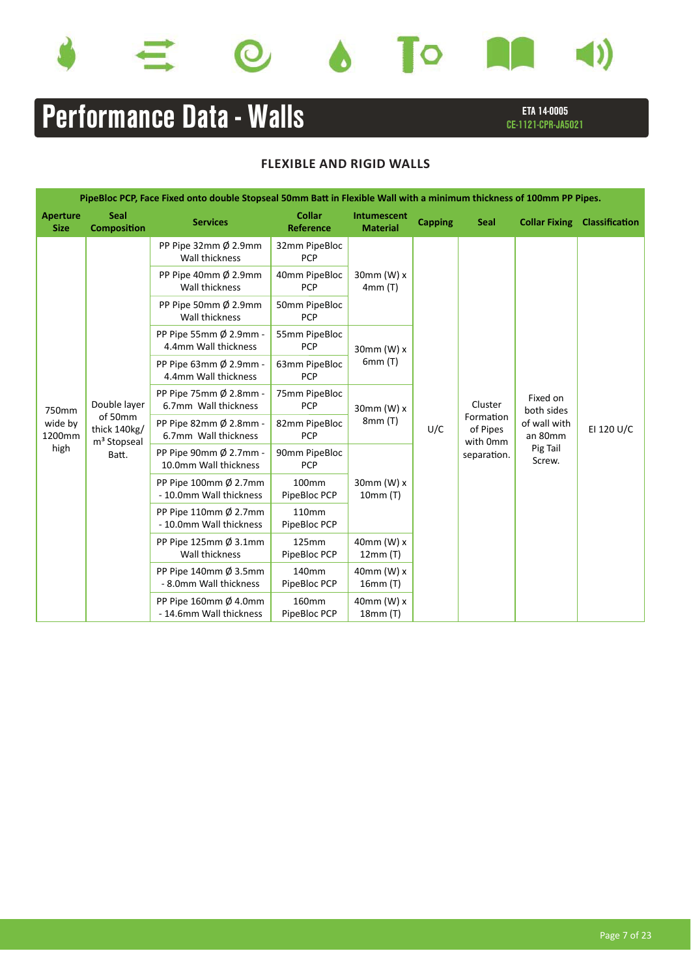









ETA 14-0005 CE-1121-CPR-JA5021

|                                | PipeBloc PCP, Face Fixed onto double Stopseal 50mm Batt in Flexible Wall with a minimum thickness of 100mm PP Pipes. |                                                            |                                   |                                |                |                                   |                         |                |  |  |  |         |                        |                    |  |
|--------------------------------|----------------------------------------------------------------------------------------------------------------------|------------------------------------------------------------|-----------------------------------|--------------------------------|----------------|-----------------------------------|-------------------------|----------------|--|--|--|---------|------------------------|--------------------|--|
| <b>Aperture</b><br><b>Size</b> | <b>Seal</b><br><b>Composition</b>                                                                                    | <b>Services</b>                                            | <b>Collar</b><br><b>Reference</b> | Intumescent<br><b>Material</b> | <b>Capping</b> | <b>Seal</b>                       | <b>Collar Fixing</b>    | Classification |  |  |  |         |                        |                    |  |
|                                |                                                                                                                      | PP Pipe 32mm Ø 2.9mm<br>Wall thickness                     | 32mm PipeBloc<br><b>PCP</b>       |                                |                |                                   |                         |                |  |  |  |         |                        |                    |  |
|                                |                                                                                                                      | PP Pipe 40mm $\emptyset$ 2.9mm<br>Wall thickness           | 40mm PipeBloc<br><b>PCP</b>       | 30mm (W) $x$<br>4mm(T)         |                |                                   |                         |                |  |  |  |         |                        |                    |  |
|                                |                                                                                                                      | PP Pipe 50mm $\emptyset$ 2.9mm<br>Wall thickness           | 50mm PipeBloc<br><b>PCP</b>       |                                |                |                                   |                         |                |  |  |  |         |                        |                    |  |
|                                |                                                                                                                      | PP Pipe 55mm Ø 2.9mm -<br>4.4mm Wall thickness             | 55mm PipeBloc<br><b>PCP</b>       | 30mm (W) $x$                   |                |                                   |                         |                |  |  |  |         |                        |                    |  |
|                                |                                                                                                                      | PP Pipe 63mm Ø 2.9mm -<br>4.4mm Wall thickness             | 63mm PipeBloc<br><b>PCP</b>       | 6mm(T)                         |                |                                   |                         |                |  |  |  |         |                        |                    |  |
| 750mm                          | Double layer                                                                                                         | PP Pipe 75mm Ø 2.8mm -<br>6.7mm Wall thickness             | 75mm PipeBloc<br><b>PCP</b>       | 30mm (W) x                     |                |                                   |                         |                |  |  |  | Cluster | Fixed on<br>both sides |                    |  |
| wide by<br>1200mm              | of 50mm<br>thick 140kg/<br>m <sup>3</sup> Stopseal                                                                   | PP Pipe 82mm Ø 2.8mm -<br>6.7mm Wall thickness             | 82mm PipeBloc<br><b>PCP</b>       | 8mm(T)                         | U/C            | Formation<br>of Pipes<br>with 0mm | of wall with<br>an 80mm | EI 120 U/C     |  |  |  |         |                        |                    |  |
| high                           | Batt.                                                                                                                | PP Pipe 90mm $\emptyset$ 2.7mm -<br>10.0mm Wall thickness  | 90mm PipeBloc<br><b>PCP</b>       | 30mm (W) $x$<br>10mm(T)        |                |                                   |                         |                |  |  |  |         | separation.            | Pig Tail<br>Screw. |  |
|                                |                                                                                                                      | PP Pipe 100mm $\emptyset$ 2.7mm<br>- 10.0mm Wall thickness | 100 <sub>mm</sub><br>PipeBloc PCP |                                |                |                                   |                         |                |  |  |  |         |                        |                    |  |
|                                |                                                                                                                      | PP Pipe 110mm $\emptyset$ 2.7mm<br>- 10.0mm Wall thickness | 110 <sub>mm</sub><br>PipeBloc PCP |                                |                |                                   |                         |                |  |  |  |         |                        |                    |  |
|                                |                                                                                                                      | PP Pipe 125mm $\emptyset$ 3.1mm<br>Wall thickness          | 125mm<br>PipeBloc PCP             | 40mm (W) x<br>12mm(T)          |                |                                   |                         |                |  |  |  |         |                        |                    |  |
|                                |                                                                                                                      | PP Pipe 140mm $\emptyset$ 3.5mm<br>- 8.0mm Wall thickness  | 140 <sub>mm</sub><br>PipeBloc PCP | 40mm (W) $x$<br>16mm (T)       |                |                                   |                         |                |  |  |  |         |                        |                    |  |
|                                |                                                                                                                      | PP Pipe 160mm $\emptyset$ 4.0mm<br>- 14.6mm Wall thickness | 160mm<br>PipeBloc PCP             | $40$ mm (W) x<br>18mm(T)       |                |                                   |                         |                |  |  |  |         |                        |                    |  |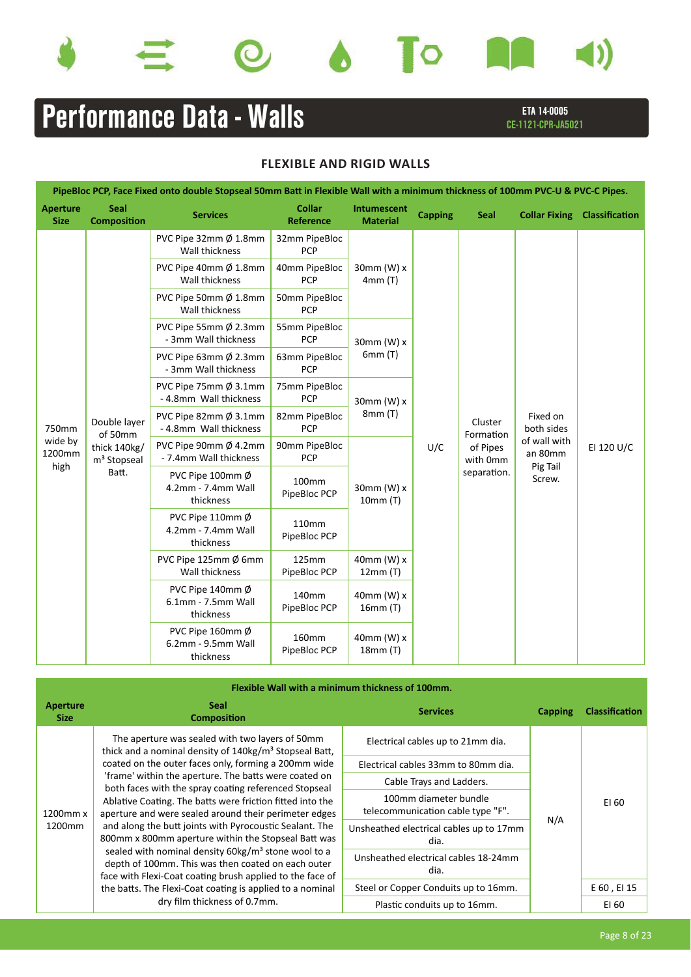









ETA 14-0005 CE-1121-CPR-JA5021

| PipeBloc PCP, Face Fixed onto double Stopseal 50mm Batt in Flexible Wall with a minimum thickness of 100mm PVC-U & PVC-C Pipes. |                                                                    |                                                               |                                   |                                |                |                                                     |                                     |                |  |  |
|---------------------------------------------------------------------------------------------------------------------------------|--------------------------------------------------------------------|---------------------------------------------------------------|-----------------------------------|--------------------------------|----------------|-----------------------------------------------------|-------------------------------------|----------------|--|--|
| <b>Aperture</b><br><b>Size</b>                                                                                                  | Seal<br><b>Composition</b>                                         | <b>Services</b>                                               | <b>Collar</b><br><b>Reference</b> | Intumescent<br><b>Material</b> | <b>Capping</b> | <b>Seal</b>                                         | <b>Collar Fixing</b>                | Classification |  |  |
|                                                                                                                                 |                                                                    | PVC Pipe 32mm Ø 1.8mm<br>Wall thickness                       | 32mm PipeBloc<br><b>PCP</b>       |                                |                |                                                     |                                     |                |  |  |
|                                                                                                                                 |                                                                    | PVC Pipe 40mm Ø 1.8mm<br>Wall thickness                       | 40mm PipeBloc<br><b>PCP</b>       | 30mm (W) x<br>4mm (T)          |                |                                                     |                                     |                |  |  |
|                                                                                                                                 |                                                                    | PVC Pipe 50mm Ø 1.8mm<br>Wall thickness                       | 50mm PipeBloc<br>PCP              |                                |                |                                                     |                                     |                |  |  |
|                                                                                                                                 |                                                                    | PVC Pipe 55mm Ø 2.3mm<br>- 3mm Wall thickness                 | 55mm PipeBloc<br><b>PCP</b>       | 30mm (W) x                     |                |                                                     |                                     | EI 120 U/C     |  |  |
|                                                                                                                                 |                                                                    | PVC Pipe 63mm Ø 2.3mm<br>- 3mm Wall thickness                 | 63mm PipeBloc<br><b>PCP</b>       | 6mm (T)                        |                | Cluster<br>Formation<br>U/C<br>of Pipes<br>with 0mm |                                     |                |  |  |
|                                                                                                                                 |                                                                    | PVC Pipe 75mm Ø 3.1mm<br>- 4.8mm Wall thickness               | 75mm PipeBloc<br><b>PCP</b>       | 30mm (W) x                     |                |                                                     |                                     |                |  |  |
| 750mm                                                                                                                           | Double layer<br>of 50mm<br>thick 140kg/<br>m <sup>3</sup> Stopseal | PVC Pipe 82mm Ø 3.1mm<br>- 4.8mm Wall thickness               | 82mm PipeBloc<br>PCP              | 8mm (T)                        |                |                                                     | Fixed on<br>both sides              |                |  |  |
| wide by<br>1200mm<br>high                                                                                                       |                                                                    | PVC Pipe 90mm Ø 4.2mm<br>- 7.4mm Wall thickness               | 90mm PipeBloc<br>PCP              |                                |                |                                                     | of wall with<br>an 80mm<br>Pig Tail |                |  |  |
|                                                                                                                                 | Batt.                                                              | PVC Pipe 100mm $\emptyset$<br>4.2mm - 7.4mm Wall<br>thickness | 100mm<br>PipeBloc PCP             | 30mm (W) x<br>10mm (T)         |                | separation.                                         | Screw.                              |                |  |  |
|                                                                                                                                 |                                                                    | PVC Pipe 110mm Ø<br>4.2mm - 7.4mm Wall<br>thickness           | 110mm<br>PipeBloc PCP             |                                |                |                                                     |                                     |                |  |  |
|                                                                                                                                 |                                                                    | PVC Pipe 125mm $\emptyset$ 6mm<br>Wall thickness              | 125mm<br>PipeBloc PCP             | 40mm (W) x<br>12mm(T)          |                |                                                     |                                     |                |  |  |
|                                                                                                                                 |                                                                    | PVC Pipe 140mm Ø<br>6.1mm - 7.5mm Wall<br>thickness           | 140mm<br>PipeBloc PCP             | 40mm (W) x<br>16mm(T)          |                |                                                     |                                     |                |  |  |
|                                                                                                                                 |                                                                    | PVC Pipe 160mm Ø<br>6.2mm - 9.5mm Wall<br>thickness           | 160mm<br>PipeBloc PCP             | $40$ mm $(W)$ x<br>18mm (T)    |                |                                                     |                                     |                |  |  |

| Flexible Wall with a minimum thickness of 100mm. |                                                                                                                                                                                                                                                                                                                                                                                                                                                                                                                                              |                                                            |         |                       |  |  |  |
|--------------------------------------------------|----------------------------------------------------------------------------------------------------------------------------------------------------------------------------------------------------------------------------------------------------------------------------------------------------------------------------------------------------------------------------------------------------------------------------------------------------------------------------------------------------------------------------------------------|------------------------------------------------------------|---------|-----------------------|--|--|--|
| Aperture<br><b>Size</b>                          | <b>Seal</b><br><b>Services</b><br><b>Composition</b>                                                                                                                                                                                                                                                                                                                                                                                                                                                                                         |                                                            | Capping | <b>Classification</b> |  |  |  |
| 1200mm x<br>1200mm                               | The aperture was sealed with two layers of 50mm<br>thick and a nominal density of 140kg/m <sup>3</sup> Stopseal Batt,                                                                                                                                                                                                                                                                                                                                                                                                                        | Electrical cables up to 21mm dia.                          |         |                       |  |  |  |
|                                                  | coated on the outer faces only, forming a 200mm wide                                                                                                                                                                                                                                                                                                                                                                                                                                                                                         | Electrical cables 33mm to 80mm dia.                        |         |                       |  |  |  |
|                                                  | 'frame' within the aperture. The batts were coated on<br>both faces with the spray coating referenced Stopseal<br>Ablative Coating. The batts were friction fitted into the<br>aperture and were sealed around their perimeter edges<br>and along the butt joints with Pyrocoustic Sealant. The<br>800mm x 800mm aperture within the Stopseal Batt was<br>sealed with nominal density 60kg/m <sup>3</sup> stone wool to a<br>depth of 100mm. This was then coated on each outer<br>face with Flexi-Coat coating brush applied to the face of | Cable Trays and Ladders.                                   |         |                       |  |  |  |
|                                                  |                                                                                                                                                                                                                                                                                                                                                                                                                                                                                                                                              | 100mm diameter bundle<br>telecommunication cable type "F". |         | EI 60                 |  |  |  |
|                                                  |                                                                                                                                                                                                                                                                                                                                                                                                                                                                                                                                              | Unsheathed electrical cables up to 17mm<br>dia.            | N/A     |                       |  |  |  |
|                                                  |                                                                                                                                                                                                                                                                                                                                                                                                                                                                                                                                              | Unsheathed electrical cables 18-24mm<br>dia.               |         |                       |  |  |  |
|                                                  | the batts. The Flexi-Coat coating is applied to a nominal                                                                                                                                                                                                                                                                                                                                                                                                                                                                                    | Steel or Copper Conduits up to 16mm.                       |         | E 60, EI 15           |  |  |  |
|                                                  | dry film thickness of 0.7mm.                                                                                                                                                                                                                                                                                                                                                                                                                                                                                                                 | Plastic conduits up to 16mm.                               |         | EI 60                 |  |  |  |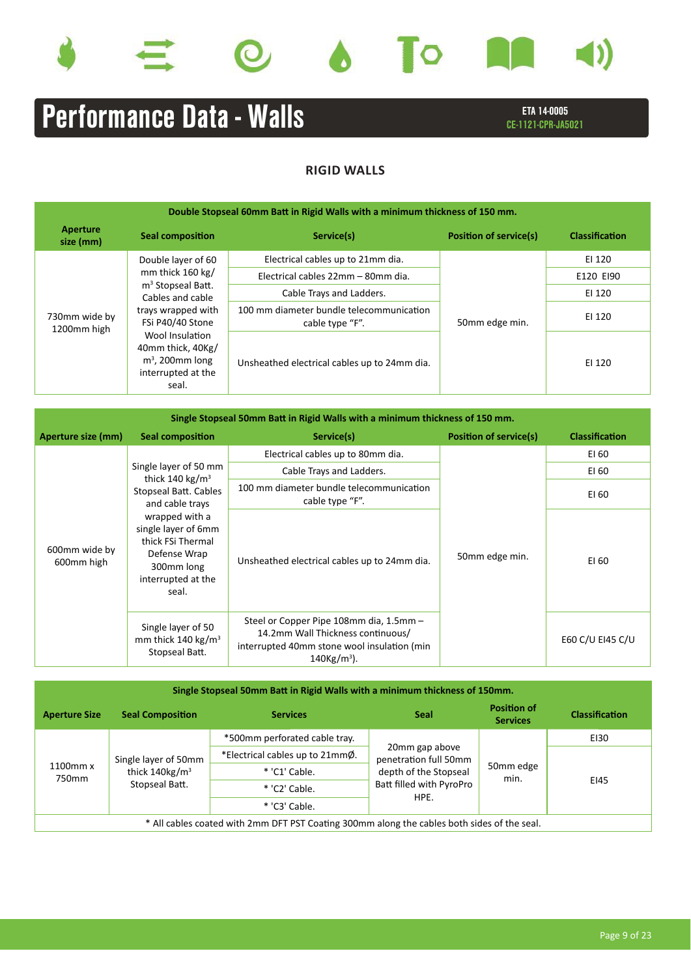









# ETA 14-0005 **Performance Data - Walls** ETA 14-0005

## **RIGID WALLS**

| Double Stopseal 60mm Batt in Rigid Walls with a minimum thickness of 150 mm. |                                                                                                                                                                                                                      |                                                             |                               |                |  |
|------------------------------------------------------------------------------|----------------------------------------------------------------------------------------------------------------------------------------------------------------------------------------------------------------------|-------------------------------------------------------------|-------------------------------|----------------|--|
| Aperture<br>size (mm)                                                        | <b>Seal composition</b>                                                                                                                                                                                              | Service(s)                                                  | <b>Position of service(s)</b> | Classification |  |
|                                                                              | Double layer of 60                                                                                                                                                                                                   | Electrical cables up to 21mm dia.                           |                               | EI 120         |  |
|                                                                              | mm thick $160 \text{ kg}$<br>m <sup>3</sup> Stopseal Batt.<br>Cables and cable<br>trays wrapped with<br>FSi P40/40 Stone<br>Wool Insulation<br>40mm thick, 40Kg/<br>$m3$ , 200mm long<br>interrupted at the<br>seal. | Electrical cables 22mm - 80mm dia.                          |                               | E120 EI90      |  |
|                                                                              |                                                                                                                                                                                                                      | Cable Trays and Ladders.                                    |                               | EI 120         |  |
| 730mm wide by<br>1200mm high                                                 |                                                                                                                                                                                                                      | 100 mm diameter bundle telecommunication<br>cable type "F". | 50mm edge min.                | EI 120         |  |
|                                                                              |                                                                                                                                                                                                                      | Unsheathed electrical cables up to 24mm dia.                |                               | EI 120         |  |

| Single Stopseal 50mm Batt in Rigid Walls with a minimum thickness of 150 mm. |                                                                                                                         |                                                                                                                                                           |                               |                       |  |
|------------------------------------------------------------------------------|-------------------------------------------------------------------------------------------------------------------------|-----------------------------------------------------------------------------------------------------------------------------------------------------------|-------------------------------|-----------------------|--|
| Aperture size (mm)                                                           | <b>Seal composition</b>                                                                                                 | Service(s)                                                                                                                                                | <b>Position of service(s)</b> | <b>Classification</b> |  |
|                                                                              |                                                                                                                         | Electrical cables up to 80mm dia.                                                                                                                         |                               | EI 60                 |  |
|                                                                              | Single layer of 50 mm<br>thick 140 kg/m <sup>3</sup>                                                                    | Cable Trays and Ladders.                                                                                                                                  |                               | EI 60                 |  |
|                                                                              | Stopseal Batt. Cables<br>and cable trays                                                                                | 100 mm diameter bundle telecommunication<br>cable type "F".                                                                                               |                               | EI 60                 |  |
| 600mm wide by<br>600mm high                                                  | wrapped with a<br>single layer of 6mm<br>thick FSi Thermal<br>Defense Wrap<br>300mm long<br>interrupted at the<br>seal. | Unsheathed electrical cables up to 24mm dia.                                                                                                              | 50mm edge min.                | EI 60                 |  |
|                                                                              | Single layer of 50<br>mm thick 140 kg/m <sup>3</sup><br>Stopseal Batt.                                                  | Steel or Copper Pipe 108mm dia, 1.5mm -<br>14.2mm Wall Thickness continuous/<br>interrupted 40mm stone wool insulation (min<br>$140$ Kg/m <sup>3</sup> ). |                               | E60 C/U EI45 C/U      |  |

| Single Stopseal 50mm Batt in Rigid Walls with a minimum thickness of 150mm.                 |                                                                         |                                 |                                                                                                      |                                       |                       |  |
|---------------------------------------------------------------------------------------------|-------------------------------------------------------------------------|---------------------------------|------------------------------------------------------------------------------------------------------|---------------------------------------|-----------------------|--|
| <b>Aperture Size</b>                                                                        | <b>Seal Composition</b>                                                 | <b>Services</b>                 | <b>Seal</b>                                                                                          | <b>Position of</b><br><b>Services</b> | <b>Classification</b> |  |
|                                                                                             | Single layer of 50mm<br>thick $140$ kg/m <sup>3</sup><br>Stopseal Batt. | *500mm perforated cable tray.   | 20mm gap above<br>penetration full 50mm<br>depth of the Stopseal<br>Batt filled with PyroPro<br>HPE. | 50mm edge<br>min.                     | E130                  |  |
|                                                                                             |                                                                         | *Electrical cables up to 21mmØ. |                                                                                                      |                                       |                       |  |
| $1100$ mm $x$<br>750mm                                                                      |                                                                         | * 'C1' Cable.                   |                                                                                                      |                                       | EI45                  |  |
|                                                                                             |                                                                         | * 'C2' Cable.                   |                                                                                                      |                                       |                       |  |
|                                                                                             |                                                                         | * 'C3' Cable.                   |                                                                                                      |                                       |                       |  |
| * All cables coated with 2mm DFT PST Coating 300mm along the cables both sides of the seal. |                                                                         |                                 |                                                                                                      |                                       |                       |  |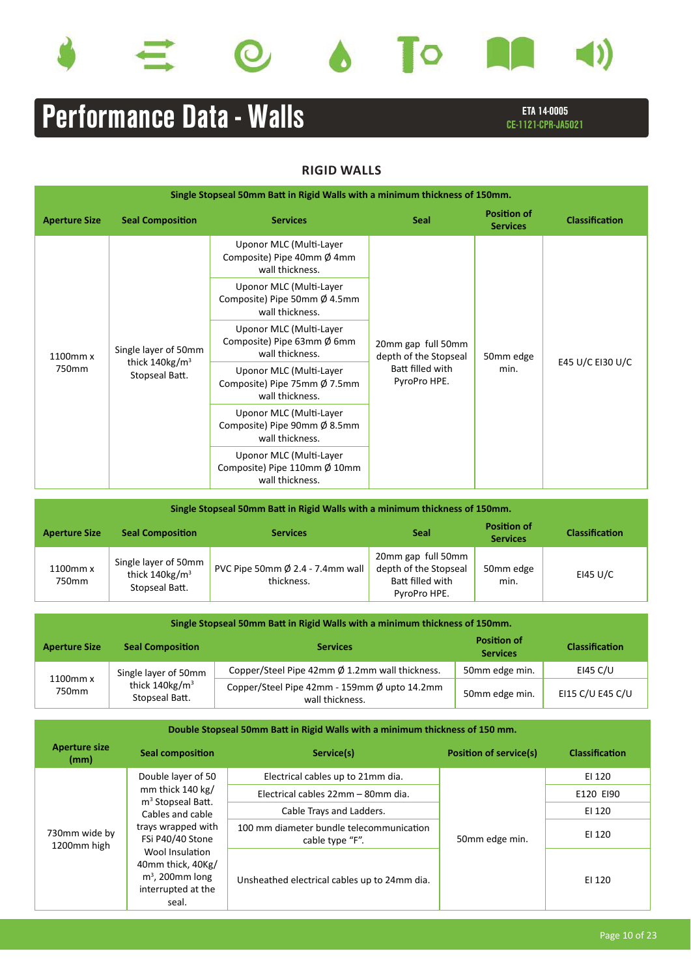









# ETA 14-0005 **Performance Data - Walls** Examplement CE-1121-CPR-JA5021

## **RIGID WALLS**

| Single Stopseal 50mm Batt in Rigid Walls with a minimum thickness of 150mm. |                                                                      |                                                                                      |                                                                                 |                                       |                       |  |
|-----------------------------------------------------------------------------|----------------------------------------------------------------------|--------------------------------------------------------------------------------------|---------------------------------------------------------------------------------|---------------------------------------|-----------------------|--|
| <b>Aperture Size</b>                                                        | <b>Seal Composition</b>                                              | <b>Services</b>                                                                      | <b>Seal</b>                                                                     | <b>Position of</b><br><b>Services</b> | <b>Classification</b> |  |
|                                                                             | Single layer of 50mm<br>thick 140kg/m <sup>3</sup><br>Stopseal Batt. | Uponor MLC (Multi-Layer<br>Composite) Pipe 40mm $\emptyset$ 4mm<br>wall thickness.   | 20mm gap full 50mm<br>depth of the Stopseal<br>Batt filled with<br>PyroPro HPE. |                                       | E45 U/C EI30 U/C      |  |
|                                                                             |                                                                      | Uponor MLC (Multi-Layer<br>Composite) Pipe 50mm Ø 4.5mm<br>wall thickness.           |                                                                                 | 50mm edge<br>min.                     |                       |  |
| 1100mm x                                                                    |                                                                      | Uponor MLC (Multi-Layer<br>Composite) Pipe 63mm $\emptyset$ 6mm<br>wall thickness.   |                                                                                 |                                       |                       |  |
| 750mm                                                                       |                                                                      | Uponor MLC (Multi-Layer<br>Composite) Pipe 75mm $\emptyset$ 7.5mm<br>wall thickness. |                                                                                 |                                       |                       |  |
|                                                                             |                                                                      | Uponor MLC (Multi-Layer<br>Composite) Pipe 90mm $\emptyset$ 8.5mm<br>wall thickness. |                                                                                 |                                       |                       |  |
|                                                                             |                                                                      | Uponor MLC (Multi-Layer<br>Composite) Pipe 110mm Ø 10mm<br>wall thickness.           |                                                                                 |                                       |                       |  |

| Single Stopseal 50mm Batt in Rigid Walls with a minimum thickness of 150mm. |                                                                         |                                                          |                                                                                 |                                       |                       |  |
|-----------------------------------------------------------------------------|-------------------------------------------------------------------------|----------------------------------------------------------|---------------------------------------------------------------------------------|---------------------------------------|-----------------------|--|
| <b>Aperture Size</b>                                                        | <b>Seal Composition</b>                                                 | <b>Services</b>                                          | <b>Seal</b>                                                                     | <b>Position of</b><br><b>Services</b> | <b>Classification</b> |  |
| 1100mm x<br>750mm                                                           | Single layer of 50mm<br>thick $140$ kg/m <sup>3</sup><br>Stopseal Batt. | PVC Pipe 50mm $\emptyset$ 2.4 - 7.4mm wall<br>thickness. | 20mm gap full 50mm<br>depth of the Stopseal<br>Batt filled with<br>PyroPro HPE. | 50mm edge<br>min.                     | EI45 U/C              |  |

| Single Stopseal 50mm Batt in Rigid Walls with a minimum thickness of 150mm. |                                                                         |                                                                 |                                       |                       |  |
|-----------------------------------------------------------------------------|-------------------------------------------------------------------------|-----------------------------------------------------------------|---------------------------------------|-----------------------|--|
| <b>Aperture Size</b>                                                        | <b>Seal Composition</b>                                                 | <b>Services</b>                                                 | <b>Position of</b><br><b>Services</b> | <b>Classification</b> |  |
| 1100mm x<br>750mm                                                           | Single layer of 50mm<br>thick $140$ kg/m <sup>3</sup><br>Stopseal Batt. | Copper/Steel Pipe 42mm Ø 1.2mm wall thickness.                  | 50mm edge min.                        | EI45 C/U              |  |
|                                                                             |                                                                         | Copper/Steel Pipe 42mm - 159mm Ø upto 14.2mm<br>wall thickness. | 50mm edge min.                        | EI15 C/U E45 C/U      |  |

| Double Stopseal 50mm Batt in Rigid Walls with a minimum thickness of 150 mm. |                                                                                                                                                                                                                      |                                                             |                               |                |  |
|------------------------------------------------------------------------------|----------------------------------------------------------------------------------------------------------------------------------------------------------------------------------------------------------------------|-------------------------------------------------------------|-------------------------------|----------------|--|
| <b>Aperture size</b><br>(mm)                                                 | <b>Seal composition</b>                                                                                                                                                                                              | Service(s)                                                  | <b>Position of service(s)</b> | Classification |  |
|                                                                              | Double layer of 50                                                                                                                                                                                                   | Electrical cables up to 21mm dia.                           |                               | EI 120         |  |
|                                                                              | mm thick $140 \text{ kg}$<br>m <sup>3</sup> Stopseal Batt.<br>Cables and cable<br>trays wrapped with<br>FSi P40/40 Stone<br>Wool Insulation<br>40mm thick, 40Kg/<br>$m3$ , 200mm long<br>interrupted at the<br>seal. | Electrical cables 22mm - 80mm dia.                          |                               | E120 EI90      |  |
|                                                                              |                                                                                                                                                                                                                      | Cable Trays and Ladders.                                    |                               | EI 120         |  |
| 730mm wide by<br>1200mm high                                                 |                                                                                                                                                                                                                      | 100 mm diameter bundle telecommunication<br>cable type "F". | 50mm edge min.                | EI 120         |  |
|                                                                              |                                                                                                                                                                                                                      | Unsheathed electrical cables up to 24mm dia.                |                               | EI 120         |  |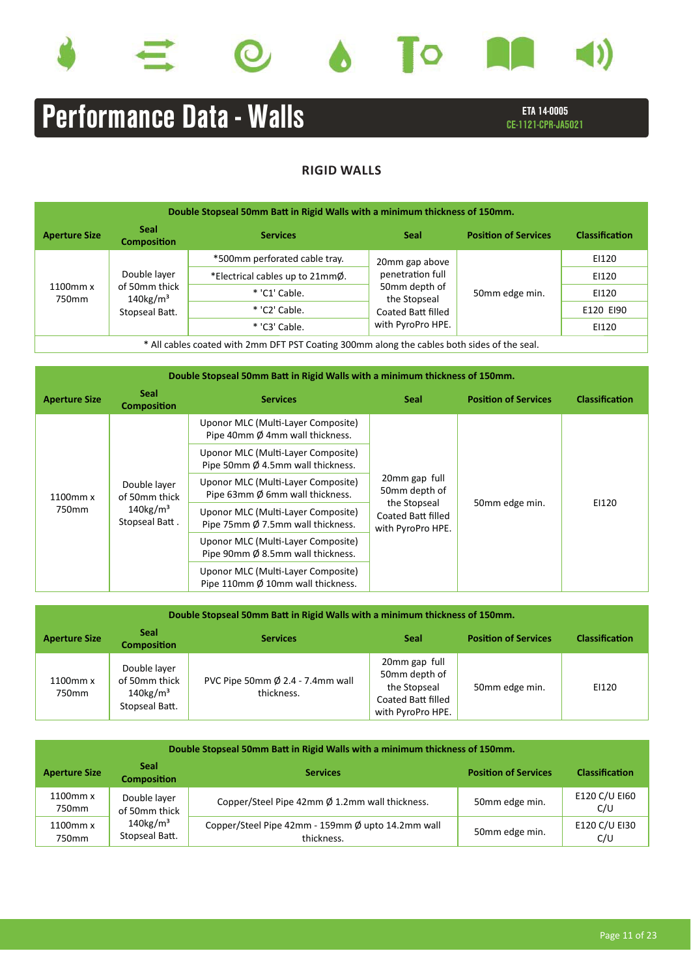







# ETA 14-0005 **Performance Data - Walls** Examplement CE-1121-CPR-JA5021

## **RIGID WALLS**

| Double Stopseal 50mm Batt in Rigid Walls with a minimum thickness of 150mm.              |                                                                            |                                 |                               |                             |                       |  |
|------------------------------------------------------------------------------------------|----------------------------------------------------------------------------|---------------------------------|-------------------------------|-----------------------------|-----------------------|--|
| <b>Aperture Size</b>                                                                     | <b>Seal</b><br><b>Composition</b>                                          | <b>Services</b>                 | <b>Seal</b>                   | <b>Position of Services</b> | <b>Classification</b> |  |
|                                                                                          |                                                                            | *500mm perforated cable tray.   | 20mm gap above                | 50mm edge min.              | EI120                 |  |
|                                                                                          | Double layer<br>of 50mm thick<br>$140$ kg/m <sup>3</sup><br>Stopseal Batt. | *Electrical cables up to 21mmØ. | penetration full              |                             | EI120                 |  |
| 1100mm x<br>750mm                                                                        |                                                                            | * 'C1' Cable.                   | 50mm depth of<br>the Stopseal |                             | EI120                 |  |
|                                                                                          |                                                                            | * 'C2' Cable.                   | Coated Batt filled            |                             | E120 EI90             |  |
|                                                                                          |                                                                            | * 'C3' Cable.                   | with PyroPro HPE.             |                             | EI120                 |  |
| All cables coated with 2mm DET PST Coating 300mm along the cables both sides of the seal |                                                                            |                                 |                               |                             |                       |  |

\* All cables coated with 2mm DFT PST Coating 300mm along the cables both sides of the seal.

| Double Stopseal 50mm Batt in Rigid Walls with a minimum thickness of 150mm. |                                                                            |                                                                         |                                                                                           |                             |                       |  |
|-----------------------------------------------------------------------------|----------------------------------------------------------------------------|-------------------------------------------------------------------------|-------------------------------------------------------------------------------------------|-----------------------------|-----------------------|--|
| <b>Aperture Size</b>                                                        | <b>Seal</b><br><b>Composition</b>                                          | <b>Services</b>                                                         | <b>Seal</b>                                                                               | <b>Position of Services</b> | <b>Classification</b> |  |
|                                                                             | Double layer<br>of 50mm thick<br>$140$ kg/m <sup>3</sup><br>Stopseal Batt. | Uponor MLC (Multi-Layer Composite)<br>Pipe 40mm Ø 4mm wall thickness.   |                                                                                           | 50mm edge min.              | EI120                 |  |
|                                                                             |                                                                            | Uponor MLC (Multi-Layer Composite)<br>Pipe 50mm Ø 4.5mm wall thickness. |                                                                                           |                             |                       |  |
| 1100mm x                                                                    |                                                                            | Uponor MLC (Multi-Layer Composite)<br>Pipe 63mm Ø 6mm wall thickness.   | 20mm gap full<br>50mm depth of<br>the Stopseal<br>Coated Batt filled<br>with PyroPro HPE. |                             |                       |  |
| 750mm                                                                       |                                                                            | Uponor MLC (Multi-Layer Composite)<br>Pipe 75mm Ø 7.5mm wall thickness. |                                                                                           |                             |                       |  |
|                                                                             |                                                                            | Uponor MLC (Multi-Layer Composite)<br>Pipe 90mm Ø 8.5mm wall thickness. |                                                                                           |                             |                       |  |
|                                                                             |                                                                            | Uponor MLC (Multi-Layer Composite)<br>Pipe 110mm Ø 10mm wall thickness. |                                                                                           |                             |                       |  |

| Double Stopseal 50mm Batt in Rigid Walls with a minimum thickness of 150mm. |                                                                            |                                                          |                                                                                                  |                             |                       |
|-----------------------------------------------------------------------------|----------------------------------------------------------------------------|----------------------------------------------------------|--------------------------------------------------------------------------------------------------|-----------------------------|-----------------------|
| <b>Aperture Size</b>                                                        | <b>Seal</b><br><b>Composition</b>                                          | <b>Services</b>                                          | <b>Seal</b>                                                                                      | <b>Position of Services</b> | <b>Classification</b> |
| 1100mm x<br>750mm                                                           | Double layer<br>of 50mm thick<br>$140$ kg/m <sup>3</sup><br>Stopseal Batt. | PVC Pipe 50mm $\emptyset$ 2.4 - 7.4mm wall<br>thickness. | 20mm gap full<br>50mm depth of<br>the Stopseal<br><b>Coated Batt filled</b><br>with PyroPro HPE. | 50mm edge min.              | EI120                 |

| Double Stopseal 50mm Batt in Rigid Walls with a minimum thickness of 150mm. |                                           |                                                                 |                             |                       |  |
|-----------------------------------------------------------------------------|-------------------------------------------|-----------------------------------------------------------------|-----------------------------|-----------------------|--|
| <b>Aperture Size</b>                                                        | <b>Seal</b><br><b>Composition</b>         | <b>Services</b>                                                 | <b>Position of Services</b> | <b>Classification</b> |  |
| 1100mm x<br>750mm                                                           | Double layer<br>of 50mm thick             | Copper/Steel Pipe 42mm Ø 1.2mm wall thickness.                  | 50mm edge min.              | E120 C/U EI60<br>C/U  |  |
| 1100mm x<br>750mm                                                           | $140$ kg/m <sup>3</sup><br>Stopseal Batt. | Copper/Steel Pipe 42mm - 159mm Ø upto 14.2mm wall<br>thickness. | 50mm edge min.              | E120 C/U EI30<br>C/U  |  |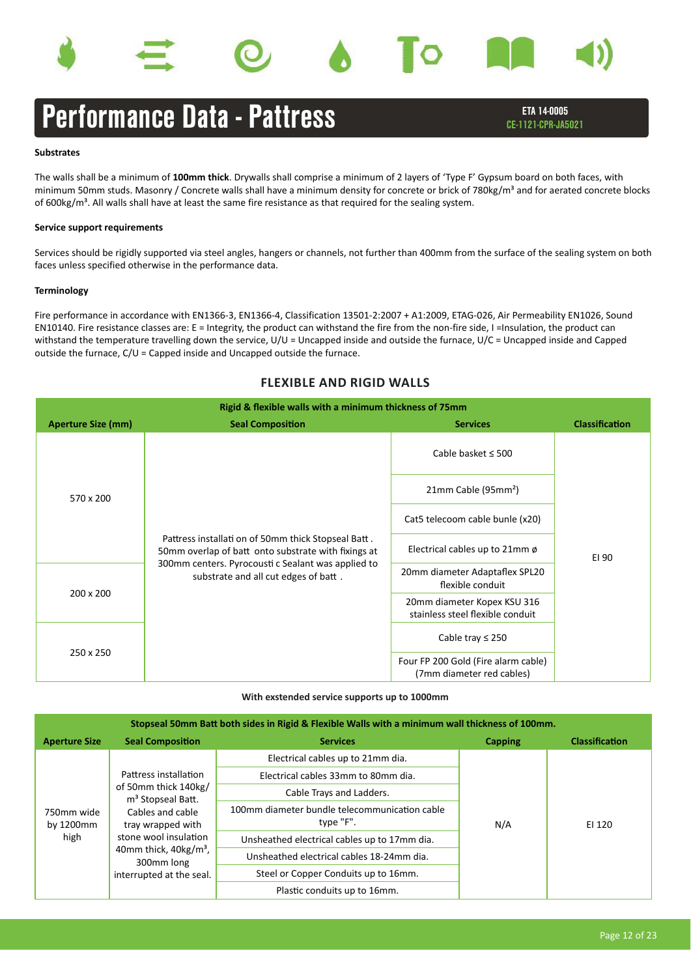



## Performance Data - Pattress CE-1121-CPR-JA5021

### **Substrates**

The walls shall be a minimum of **100mm thick**. Drywalls shall comprise a minimum of 2 layers of 'Type F' Gypsum board on both faces, with minimum 50mm studs. Masonry / Concrete walls shall have a minimum density for concrete or brick of 780kg/m<sup>3</sup> and for aerated concrete blocks of  $600\text{kg/m}^3$ . All walls shall have at least the same fire resistance as that required for the sealing system.

### **Service support requirements**

Services should be rigidly supported via steel angles, hangers or channels, not further than 400mm from the surface of the sealing system on both faces unless specified otherwise in the performance data.

### **Terminology**

Fire performance in accordance with EN1366-3, EN1366-4, Classification 13501-2:2007 + A1:2009, ETAG-026, Air Permeability EN1026, Sound EN10140. Fire resistance classes are: E = Integrity, the product can withstand the fire from the non-fire side, I =Insulation, the product can withstand the temperature travelling down the service, U/U = Uncapped inside and outside the furnace, U/C = Uncapped inside and Capped outside the furnace, C/U = Capped inside and Uncapped outside the furnace.

### **FLEXIBLE AND RIGID WALLS**

| Rigid & flexible walls with a minimum thickness of 75mm |                                                                                                                                                                                                          |                                                                  |                       |  |  |  |  |  |
|---------------------------------------------------------|----------------------------------------------------------------------------------------------------------------------------------------------------------------------------------------------------------|------------------------------------------------------------------|-----------------------|--|--|--|--|--|
| <b>Aperture Size (mm)</b>                               | <b>Seal Composition</b>                                                                                                                                                                                  | <b>Services</b>                                                  | <b>Classification</b> |  |  |  |  |  |
|                                                         |                                                                                                                                                                                                          | Cable basket $\leq 500$                                          |                       |  |  |  |  |  |
| 570 x 200                                               |                                                                                                                                                                                                          | 21mm Cable (95mm <sup>2</sup> )                                  |                       |  |  |  |  |  |
|                                                         | Pattress installati on of 50mm thick Stopseal Batt.<br>50mm overlap of batt onto substrate with fixings at<br>300mm centers. Pyrocousti c Sealant was applied to<br>substrate and all cut edges of batt. | Cat5 telecoom cable bunle (x20)                                  | EI 90                 |  |  |  |  |  |
|                                                         |                                                                                                                                                                                                          | Electrical cables up to $21$ mm ø                                |                       |  |  |  |  |  |
| 200 x 200                                               |                                                                                                                                                                                                          | 20mm diameter Adaptaflex SPL20<br>flexible conduit               |                       |  |  |  |  |  |
|                                                         |                                                                                                                                                                                                          | 20mm diameter Kopex KSU 316<br>stainless steel flexible conduit  |                       |  |  |  |  |  |
|                                                         |                                                                                                                                                                                                          | Cable tray $\leq 250$                                            |                       |  |  |  |  |  |
| 250 x 250                                               |                                                                                                                                                                                                          | Four FP 200 Gold (Fire alarm cable)<br>(7mm diameter red cables) |                       |  |  |  |  |  |

### **With exstended service supports up to 1000mm**

| Stopseal 50mm Batt both sides in Rigid & Flexible Walls with a minimum wall thickness of 100mm. |                                                                                                |                                                            |                |                       |  |  |  |  |
|-------------------------------------------------------------------------------------------------|------------------------------------------------------------------------------------------------|------------------------------------------------------------|----------------|-----------------------|--|--|--|--|
| <b>Aperture Size</b>                                                                            | <b>Seal Composition</b>                                                                        | <b>Services</b>                                            | <b>Capping</b> | <b>Classification</b> |  |  |  |  |
|                                                                                                 |                                                                                                | Electrical cables up to 21mm dia.                          |                | EI 120                |  |  |  |  |
|                                                                                                 | Pattress installation                                                                          | Electrical cables 33mm to 80mm dia.                        |                |                       |  |  |  |  |
| 750mm wide<br>by 1200mm                                                                         | of 50mm thick 140kg/<br>m <sup>3</sup> Stopseal Batt.<br>Cables and cable<br>tray wrapped with | Cable Trays and Ladders.                                   |                |                       |  |  |  |  |
|                                                                                                 |                                                                                                | 100mm diameter bundle telecommunication cable<br>type "F". | N/A            |                       |  |  |  |  |
| high                                                                                            | stone wool insulation                                                                          | Unsheathed electrical cables up to 17mm dia.               |                |                       |  |  |  |  |
|                                                                                                 | 40mm thick, $40\text{kg/m}^3$ ,<br>300mm long                                                  | Unsheathed electrical cables 18-24mm dia.                  |                |                       |  |  |  |  |
|                                                                                                 | interrupted at the seal.                                                                       | Steel or Copper Conduits up to 16mm.                       |                |                       |  |  |  |  |
|                                                                                                 |                                                                                                | Plastic conduits up to 16mm.                               |                |                       |  |  |  |  |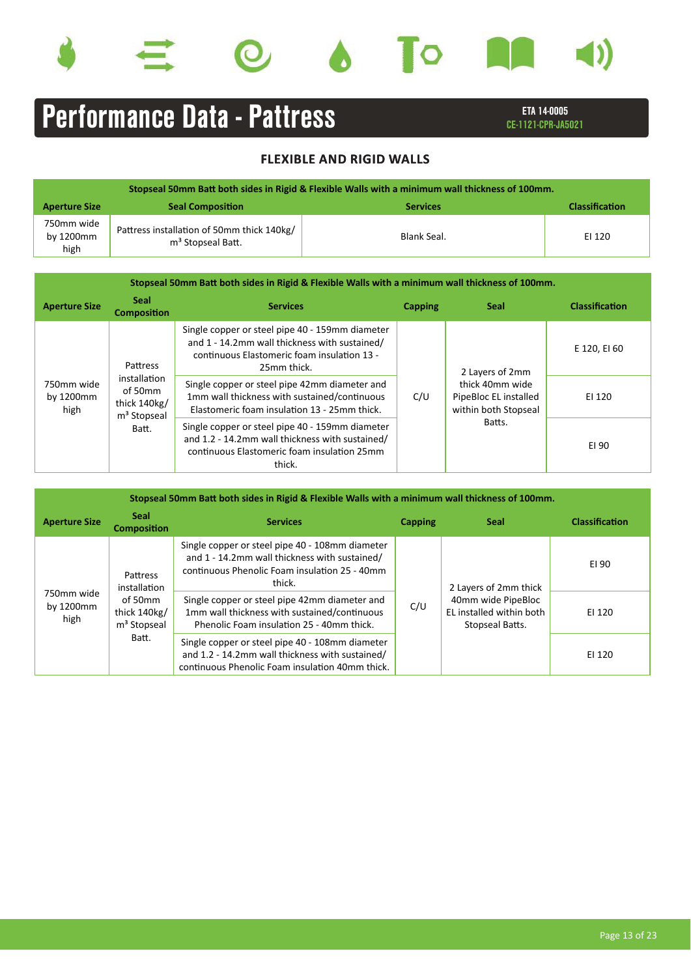







# ETA 14-0005 Performance Data - Pattress

|                                 | Stopseal 50mm Batt both sides in Rigid & Flexible Walls with a minimum wall thickness of 100mm. |                 |                       |  |  |  |  |  |  |
|---------------------------------|-------------------------------------------------------------------------------------------------|-----------------|-----------------------|--|--|--|--|--|--|
| <b>Aperture Size</b>            | <b>Seal Composition</b>                                                                         | <b>Services</b> | <b>Classification</b> |  |  |  |  |  |  |
| 750mm wide<br>by 1200mm<br>high | Pattress installation of 50mm thick 140kg/<br>m <sup>3</sup> Stopseal Batt.                     | Blank Seal.     | EI 120                |  |  |  |  |  |  |

| Stopseal 50mm Batt both sides in Rigid & Flexible Walls with a minimum wall thickness of 100mm. |                                                                             |                                                                                                                                                                |                |                                                                  |                       |  |  |  |
|-------------------------------------------------------------------------------------------------|-----------------------------------------------------------------------------|----------------------------------------------------------------------------------------------------------------------------------------------------------------|----------------|------------------------------------------------------------------|-----------------------|--|--|--|
| <b>Aperture Size</b>                                                                            | <b>Seal</b><br><b>Composition</b>                                           | <b>Services</b>                                                                                                                                                | <b>Capping</b> | <b>Seal</b>                                                      | <b>Classification</b> |  |  |  |
| 750mm wide<br>by 1200mm<br>high                                                                 | <b>Pattress</b>                                                             | Single copper or steel pipe 40 - 159mm diameter<br>and 1 - 14.2mm wall thickness with sustained/<br>continuous Elastomeric foam insulation 13 -<br>25mm thick. |                | 2 Layers of 2mm                                                  | E 120, EI 60          |  |  |  |
|                                                                                                 | installation<br>of 50mm<br>thick 140kg/<br>m <sup>3</sup> Stopseal<br>Batt. | Single copper or steel pipe 42mm diameter and<br>1mm wall thickness with sustained/continuous<br>Elastomeric foam insulation 13 - 25mm thick.                  | C/U            | thick 40mm wide<br>PipeBloc EL installed<br>within both Stopseal | EI 120                |  |  |  |
|                                                                                                 |                                                                             | Single copper or steel pipe 40 - 159mm diameter<br>and 1.2 - 14.2mm wall thickness with sustained/<br>continuous Elastomeric foam insulation 25mm<br>thick.    |                | Batts.                                                           | EI 90                 |  |  |  |

| Stopseal 50mm Batt both sides in Rigid & Flexible Walls with a minimum wall thickness of 100mm. |                                                             |                                                                                                                                                             |                |                                                                   |                       |  |  |  |
|-------------------------------------------------------------------------------------------------|-------------------------------------------------------------|-------------------------------------------------------------------------------------------------------------------------------------------------------------|----------------|-------------------------------------------------------------------|-----------------------|--|--|--|
| <b>Aperture Size</b>                                                                            | <b>Seal</b><br><b>Composition</b>                           | <b>Services</b>                                                                                                                                             | <b>Capping</b> | <b>Seal</b>                                                       | <b>Classification</b> |  |  |  |
| 750mm wide<br>by 1200mm<br>high                                                                 | Pattress<br>installation                                    | Single copper or steel pipe 40 - 108mm diameter<br>and 1 - 14.2mm wall thickness with sustained/<br>continuous Phenolic Foam insulation 25 - 40mm<br>thick. |                | 2 Layers of 2mm thick                                             | EI 90                 |  |  |  |
|                                                                                                 | of 50mm<br>thick 140kg/<br>m <sup>3</sup> Stopseal<br>Batt. | Single copper or steel pipe 42mm diameter and<br>1mm wall thickness with sustained/continuous<br>Phenolic Foam insulation 25 - 40mm thick.                  | C/U            | 40mm wide PipeBloc<br>EL installed within both<br>Stopseal Batts. | EI 120                |  |  |  |
|                                                                                                 |                                                             | Single copper or steel pipe 40 - 108mm diameter<br>and 1.2 - 14.2mm wall thickness with sustained/<br>continuous Phenolic Foam insulation 40mm thick.       |                |                                                                   | EI 120                |  |  |  |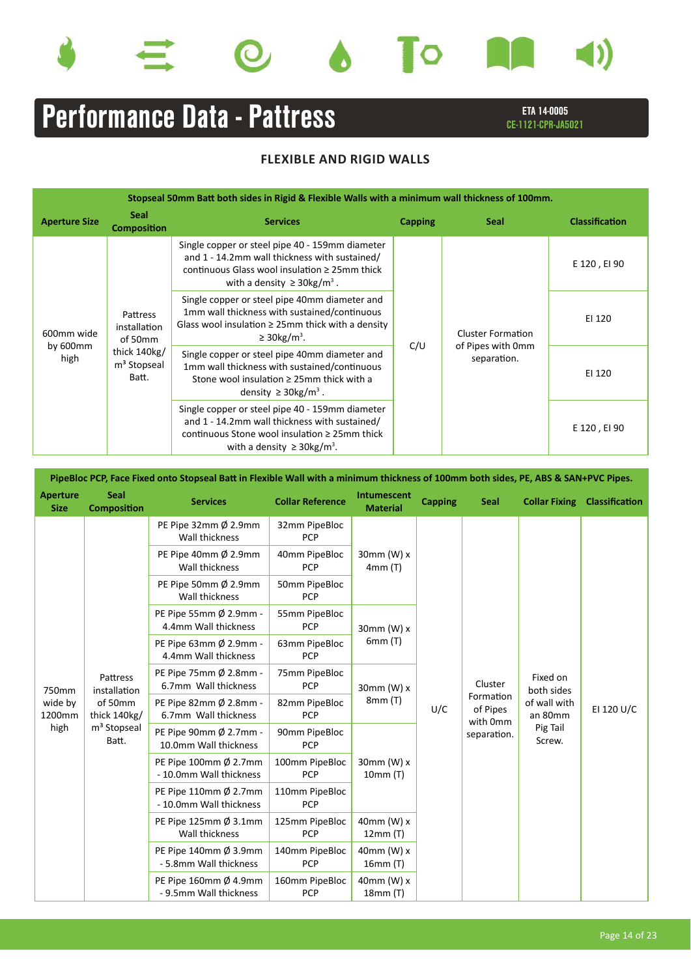









# ETA 14-0005 Performance Data - Pattress

| Stopseal 50mm Batt both sides in Rigid & Flexible Walls with a minimum wall thickness of 100mm. |                                                                                         |                                                                                                                                                                                                        |     |                                                              |                       |  |  |  |
|-------------------------------------------------------------------------------------------------|-----------------------------------------------------------------------------------------|--------------------------------------------------------------------------------------------------------------------------------------------------------------------------------------------------------|-----|--------------------------------------------------------------|-----------------------|--|--|--|
| <b>Aperture Size</b>                                                                            | <b>Seal</b><br><b>Composition</b>                                                       | <b>Capping</b><br><b>Services</b><br><b>Seal</b>                                                                                                                                                       |     |                                                              | <b>Classification</b> |  |  |  |
| 600mm wide<br>by $600$ mm<br>high                                                               | Pattress<br>installation<br>of 50mm<br>thick 140kg/<br>m <sup>3</sup> Stopseal<br>Batt. | Single copper or steel pipe 40 - 159mm diameter<br>and 1 - 14.2mm wall thickness with sustained/<br>continuous Glass wool insulation $\geq 25$ mm thick<br>with a density $\geq$ 30kg/m <sup>3</sup> . |     |                                                              | E 120, EI 90          |  |  |  |
|                                                                                                 |                                                                                         | Single copper or steel pipe 40mm diameter and<br>1mm wall thickness with sustained/continuous<br>Glass wool insulation $\geq$ 25mm thick with a density<br>$\geq$ 30kg/m <sup>3</sup> .                |     | <b>Cluster Formation</b><br>of Pipes with 0mm<br>separation. | EI 120                |  |  |  |
|                                                                                                 |                                                                                         | Single copper or steel pipe 40mm diameter and<br>1mm wall thickness with sustained/continuous<br>Stone wool insulation $\geq 25$ mm thick with a<br>density $\geq$ 30kg/m <sup>3</sup> .               | C/U |                                                              | EI 120                |  |  |  |
|                                                                                                 |                                                                                         | Single copper or steel pipe 40 - 159mm diameter<br>and 1 - 14.2mm wall thickness with sustained/<br>continuous Stone wool insulation $\geq 25$ mm thick<br>with a density $\geq$ 30kg/m <sup>3</sup> . |     |                                                              | E 120, EI 90          |  |  |  |

| PipeBloc PCP, Face Fixed onto Stopseal Batt in Flexible Wall with a minimum thickness of 100mm both sides, PE, ABS & SAN+PVC Pipes. |                                   |                                                  |                              |                                |                |                                                  |                                                                         |                       |  |
|-------------------------------------------------------------------------------------------------------------------------------------|-----------------------------------|--------------------------------------------------|------------------------------|--------------------------------|----------------|--------------------------------------------------|-------------------------------------------------------------------------|-----------------------|--|
| <b>Aperture</b><br><b>Size</b>                                                                                                      | <b>Seal</b><br><b>Composition</b> | <b>Services</b>                                  | <b>Collar Reference</b>      | Intumescent<br><b>Material</b> | <b>Capping</b> | <b>Seal</b>                                      | <b>Collar Fixing</b>                                                    | <b>Classification</b> |  |
|                                                                                                                                     |                                   | PE Pipe 32mm Ø 2.9mm<br>Wall thickness           | 32mm PipeBloc<br>PCP         |                                |                |                                                  |                                                                         |                       |  |
|                                                                                                                                     |                                   | PE Pipe 40mm Ø 2.9mm<br>Wall thickness           | 40mm PipeBloc<br>PCP         | $30$ mm $(W)$ x<br>4mm (T)     |                |                                                  |                                                                         |                       |  |
|                                                                                                                                     |                                   | PE Pipe 50mm Ø 2.9mm<br>Wall thickness           | 50mm PipeBloc<br><b>PCP</b>  |                                |                |                                                  |                                                                         |                       |  |
|                                                                                                                                     |                                   | PE Pipe 55mm Ø 2.9mm -<br>4.4mm Wall thickness   | 55mm PipeBloc<br><b>PCP</b>  | 30mm (W) $x$<br>6mm(T)         |                |                                                  |                                                                         |                       |  |
|                                                                                                                                     |                                   | PE Pipe 63mm Ø 2.9mm -<br>4.4mm Wall thickness   | 63mm PipeBloc<br><b>PCP</b>  |                                |                |                                                  |                                                                         |                       |  |
| 750mm                                                                                                                               | Pattress<br>installation          | PE Pipe 75mm Ø 2.8mm -<br>6.7mm Wall thickness   | 75mm PipeBloc<br>PCP         | 30mm (W) x<br>8mm (T)          |                | Cluster                                          | Fixed on<br>both sides<br>of wall with<br>an 80mm<br>Pig Tail<br>Screw. | EI 120 U/C            |  |
| wide by<br>1200mm                                                                                                                   | of 50mm<br>thick 140kg/           | PE Pipe 82mm Ø 2.8mm -<br>6.7mm Wall thickness   | 82mm PipeBloc<br><b>PCP</b>  |                                | U/C            | Formation<br>of Pipes<br>with 0mm<br>separation. |                                                                         |                       |  |
| high                                                                                                                                | m <sup>3</sup> Stopseal<br>Batt.  | PE Pipe 90mm Ø 2.7mm -<br>10.0mm Wall thickness  | 90mm PipeBloc<br><b>PCP</b>  |                                |                |                                                  |                                                                         |                       |  |
|                                                                                                                                     |                                   | PE Pipe 100mm Ø 2.7mm<br>- 10.0mm Wall thickness | 100mm PipeBloc<br>PCP        | 30mm (W) x<br>10mm (T)         |                |                                                  |                                                                         |                       |  |
|                                                                                                                                     |                                   | PE Pipe 110mm Ø 2.7mm<br>- 10.0mm Wall thickness | 110mm PipeBloc<br>PCP        |                                |                |                                                  |                                                                         |                       |  |
|                                                                                                                                     |                                   | PE Pipe 125mm Ø 3.1mm<br>Wall thickness          | 125mm PipeBloc<br>PCP        | $40$ mm $(W)$ x<br>12mm(T)     |                |                                                  |                                                                         |                       |  |
|                                                                                                                                     |                                   | PE Pipe 140mm Ø 3.9mm<br>- 5.8mm Wall thickness  | 140mm PipeBloc<br><b>PCP</b> | $40$ mm $(W)$ x<br>16mm(T)     |                |                                                  |                                                                         |                       |  |
|                                                                                                                                     |                                   | PE Pipe 160mm Ø 4.9mm<br>- 9.5mm Wall thickness  | 160mm PipeBloc<br>PCP        | 40mm (W) x<br>18mm(T)          |                |                                                  |                                                                         |                       |  |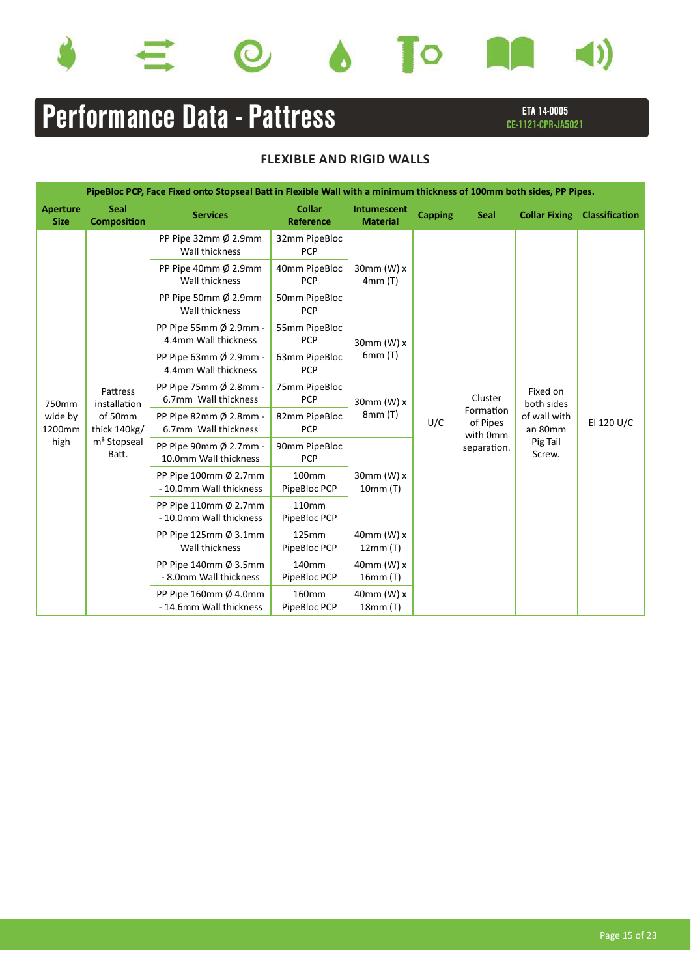









# Performance Data - Pattress

### ETA 14-0005 CE-1121-CPR-JA5021

| PipeBloc PCP, Face Fixed onto Stopseal Batt in Flexible Wall with a minimum thickness of 100mm both sides, PP Pipes. |                                   |                                                            |                                   |                                |                |                                                                    |                                                   |                |  |
|----------------------------------------------------------------------------------------------------------------------|-----------------------------------|------------------------------------------------------------|-----------------------------------|--------------------------------|----------------|--------------------------------------------------------------------|---------------------------------------------------|----------------|--|
| <b>Aperture</b><br><b>Size</b>                                                                                       | <b>Seal</b><br><b>Composition</b> | <b>Services</b>                                            | <b>Collar</b><br><b>Reference</b> | Intumescent<br><b>Material</b> | <b>Capping</b> | <b>Seal</b>                                                        | <b>Collar Fixing</b>                              | Classification |  |
|                                                                                                                      |                                   | PP Pipe 32mm $\emptyset$ 2.9mm<br>Wall thickness           | 32mm PipeBloc<br><b>PCP</b>       |                                |                |                                                                    |                                                   |                |  |
|                                                                                                                      |                                   | PP Pipe 40mm $\emptyset$ 2.9mm<br>Wall thickness           | 40mm PipeBloc<br><b>PCP</b>       | 30mm (W) $x$<br>4mm(T)         |                |                                                                    |                                                   | EI 120 U/C     |  |
|                                                                                                                      |                                   | PP Pipe 50mm Ø 2.9mm<br>Wall thickness                     | 50mm PipeBloc<br><b>PCP</b>       |                                |                | Cluster<br>Formation<br>U/C<br>of Pipes<br>with 0mm<br>separation. | Fixed on<br>both sides<br>of wall with<br>an 80mm |                |  |
|                                                                                                                      |                                   | PP Pipe 55mm Ø 2.9mm -<br>4.4mm Wall thickness             | 55mm PipeBloc<br><b>PCP</b>       | 30mm (W) x                     |                |                                                                    |                                                   |                |  |
|                                                                                                                      |                                   | PP Pipe 63mm Ø 2.9mm -<br>4.4mm Wall thickness             | 63mm PipeBloc<br><b>PCP</b>       | 6mm(T)                         |                |                                                                    |                                                   |                |  |
| 750mm                                                                                                                | Pattress<br>installation          | PP Pipe 75mm Ø 2.8mm -<br>6.7mm Wall thickness             | 75mm PipeBloc<br><b>PCP</b>       | 30mm (W) $x$<br>8mm (T)        |                |                                                                    |                                                   |                |  |
| wide by<br>1200mm                                                                                                    | of 50mm<br>thick 140kg/           | PP Pipe 82mm Ø 2.8mm -<br>6.7mm Wall thickness             | 82mm PipeBloc<br><b>PCP</b>       |                                |                |                                                                    |                                                   |                |  |
| high                                                                                                                 | m <sup>3</sup> Stopseal<br>Batt.  | PP Pipe 90mm Ø 2.7mm -<br>10.0mm Wall thickness            | 90mm PipeBloc<br><b>PCP</b>       |                                |                |                                                                    | Pig Tail<br>Screw.                                |                |  |
|                                                                                                                      |                                   | PP Pipe 100mm $\emptyset$ 2.7mm<br>- 10.0mm Wall thickness | 100 <sub>mm</sub><br>PipeBloc PCP | 30mm (W) $x$<br>10mm (T)       |                |                                                                    |                                                   |                |  |
|                                                                                                                      |                                   | PP Pipe 110mm $\emptyset$ 2.7mm<br>- 10.0mm Wall thickness | 110mm<br>PipeBloc PCP             |                                |                |                                                                    |                                                   |                |  |
|                                                                                                                      |                                   | PP Pipe 125mm $\emptyset$ 3.1mm<br>Wall thickness          | 125mm<br>PipeBloc PCP             | 40mm (W) x<br>12mm(T)          |                |                                                                    |                                                   |                |  |
|                                                                                                                      |                                   | PP Pipe 140mm Ø 3.5mm<br>- 8.0mm Wall thickness            | 140mm<br>PipeBloc PCP             | 40mm (W) $x$<br>16mm(T)        |                |                                                                    |                                                   |                |  |
|                                                                                                                      |                                   | PP Pipe 160mm $\emptyset$ 4.0mm<br>- 14.6mm Wall thickness | 160mm<br>PipeBloc PCP             | $40$ mm $(W)$ x<br>18mm(T)     |                |                                                                    |                                                   |                |  |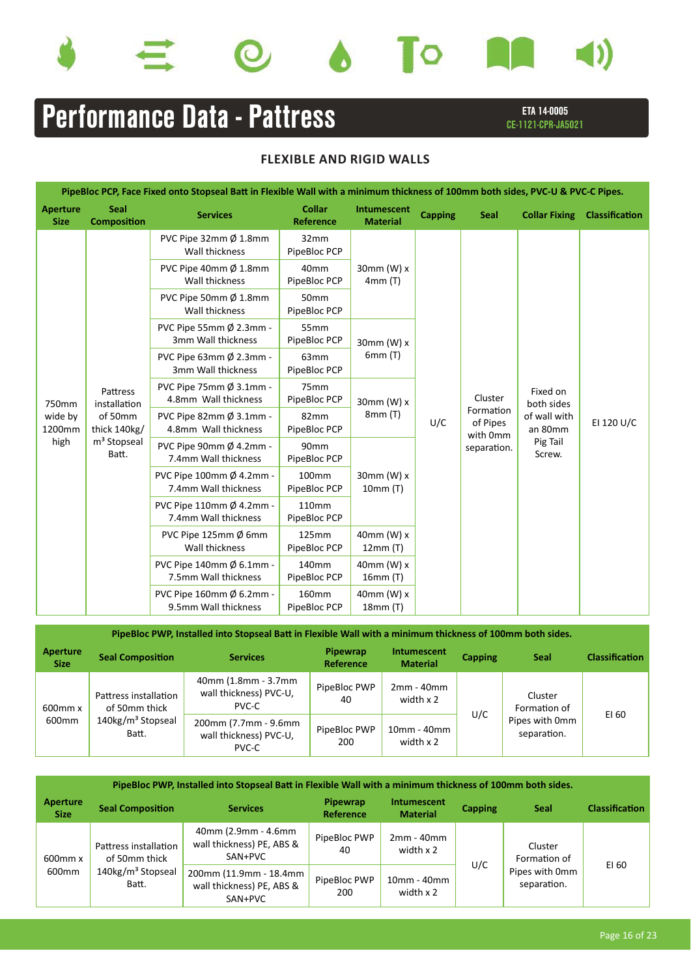









# Performance Data - Pattress

### ETA 14-0005 CE-1121-CPR-JA5021

## **FLEXIBLE AND RIGID WALLS**

| PipeBloc PCP, Face Fixed onto Stopseal Batt in Flexible Wall with a minimum thickness of 100mm both sides, PVC-U & PVC-C Pipes. |                                   |                                                            |                                   |                                |                |                                                             |                         |                       |  |
|---------------------------------------------------------------------------------------------------------------------------------|-----------------------------------|------------------------------------------------------------|-----------------------------------|--------------------------------|----------------|-------------------------------------------------------------|-------------------------|-----------------------|--|
| <b>Aperture</b><br><b>Size</b>                                                                                                  | <b>Seal</b><br><b>Composition</b> | <b>Services</b>                                            | <b>Collar</b><br><b>Reference</b> | Intumescent<br><b>Material</b> | <b>Capping</b> | <b>Seal</b>                                                 | <b>Collar Fixing</b>    | <b>Classification</b> |  |
|                                                                                                                                 |                                   | PVC Pipe 32mm Ø 1.8mm<br>Wall thickness                    | 32mm<br>PipeBloc PCP              |                                |                |                                                             |                         |                       |  |
|                                                                                                                                 |                                   | PVC Pipe 40mm Ø 1.8mm<br>Wall thickness                    | 40 <sub>mm</sub><br>PipeBloc PCP  | 30mm (W) x<br>4mm(T)           |                |                                                             |                         | EI 120 U/C            |  |
|                                                                                                                                 |                                   | PVC Pipe 50mm Ø 1.8mm<br>Wall thickness                    | 50 <sub>mm</sub><br>PipeBloc PCP  |                                |                | Cluster<br>Formation<br>of Pipes<br>with 0mm<br>separation. |                         |                       |  |
|                                                                                                                                 |                                   | PVC Pipe 55mm Ø 2.3mm -<br>3mm Wall thickness              | 55mm<br>PipeBloc PCP              | 30mm (W) x                     |                |                                                             |                         |                       |  |
|                                                                                                                                 |                                   | PVC Pipe 63mm Ø 2.3mm -<br>3mm Wall thickness              | 63 <sub>mm</sub><br>PipeBloc PCP  | 6mm (T)                        |                |                                                             |                         |                       |  |
| 750mm                                                                                                                           | Pattress<br>installation          | PVC Pipe 75mm $\emptyset$ 3.1mm -<br>4.8mm Wall thickness  | 75 <sub>mm</sub><br>PipeBloc PCP  | 30mm (W) x<br>8mm(T)           |                |                                                             | Fixed on<br>both sides  |                       |  |
| wide by<br>1200mm                                                                                                               | of 50mm<br>thick 140kg/           | PVC Pipe 82mm $\emptyset$ 3.1mm -<br>4.8mm Wall thickness  | 82mm<br>PipeBloc PCP              |                                | U/C            |                                                             | of wall with<br>an 80mm |                       |  |
| high                                                                                                                            | m <sup>3</sup> Stopseal<br>Batt.  | PVC Pipe 90mm Ø 4.2mm -<br>7.4mm Wall thickness            | 90 <sub>mm</sub><br>PipeBloc PCP  |                                |                |                                                             | Pig Tail<br>Screw.      |                       |  |
|                                                                                                                                 |                                   | PVC Pipe 100mm Ø 4.2mm -<br>7.4mm Wall thickness           | 100 <sub>mm</sub><br>PipeBloc PCP | 30mm (W) x<br>10mm(T)          |                |                                                             |                         |                       |  |
|                                                                                                                                 |                                   | PVC Pipe 110mm $\emptyset$ 4.2mm -<br>7.4mm Wall thickness | 110mm<br>PipeBloc PCP             |                                |                |                                                             |                         |                       |  |
|                                                                                                                                 |                                   | PVC Pipe 125mm $\emptyset$ 6mm<br>Wall thickness           | 125mm<br>PipeBloc PCP             | 40mm (W) x<br>12mm(T)          |                |                                                             |                         |                       |  |
|                                                                                                                                 |                                   | PVC Pipe 140mm Ø 6.1mm -<br>7.5mm Wall thickness           | 140mm<br>PipeBloc PCP             | 40mm (W) x<br>16mm (T)         |                |                                                             |                         |                       |  |
|                                                                                                                                 |                                   | PVC Pipe 160mm Ø 6.2mm -<br>9.5mm Wall thickness           | 160mm<br>PipeBloc PCP             | $40$ mm $(W)$ x<br>18mm(T)     |                |                                                             |                         |                       |  |

PipeBloc PWP, Installed into Stopseal Batt in Flexible Wall with a minimum thickness of 100mm both sides.

| Aperture<br><b>Size</b> | <b>Seal Composition</b>                | <b>Services</b>                                         | Pipewrap<br>Reference | Intumescent<br><b>Material</b> | <b>Capping</b> | <b>Seal</b>                   | <b>Classification</b> |
|-------------------------|----------------------------------------|---------------------------------------------------------|-----------------------|--------------------------------|----------------|-------------------------------|-----------------------|
| 600mm x                 | Pattress installation<br>of 50mm thick | 40mm (1.8mm - 3.7mm<br>wall thickness) PVC-U,<br>PVC-C  | PipeBloc PWP<br>40    | $2mm - 40mm$<br>width x 2      |                | Cluster<br>Formation of       |                       |
| 600 <sub>mm</sub>       | 140kg/m <sup>3</sup> Stopseal<br>Batt. | 200mm (7.7mm - 9.6mm<br>wall thickness) PVC-U,<br>PVC-C | PipeBloc PWP<br>200   | 10mm - 40mm<br>width x 2       | U/C            | Pipes with 0mm<br>separation. | EI 60                 |

|                         | PipeBloc PWP, Installed into Stopseal Batt in Flexible Wall with a minimum thickness of 100mm both sides. |                                                                |                       |                                |                |                               |                       |  |  |
|-------------------------|-----------------------------------------------------------------------------------------------------------|----------------------------------------------------------------|-----------------------|--------------------------------|----------------|-------------------------------|-----------------------|--|--|
| Aperture<br><b>Size</b> | <b>Seal Composition</b>                                                                                   | <b>Services</b>                                                | Pipewrap<br>Reference | Intumescent<br><b>Material</b> | <b>Capping</b> | <b>Seal</b>                   | <b>Classification</b> |  |  |
| $600$ mm $x$            | Pattress installation<br>of 50mm thick                                                                    | 40mm (2.9mm - 4.6mm<br>wall thickness) PE, ABS &<br>SAN+PVC    | PipeBloc PWP<br>40    | $2mm - 40mm$<br>width $x$ 2    |                | Cluster<br>Formation of       |                       |  |  |
| 600mm                   | 140kg/m <sup>3</sup> Stopseal<br>Batt.                                                                    | 200mm (11.9mm - 18.4mm<br>wall thickness) PE, ABS &<br>SAN+PVC | PipeBloc PWP<br>200   | 10mm - 40mm<br>width $x$ 2     | U/C            | Pipes with 0mm<br>separation. | EI 60                 |  |  |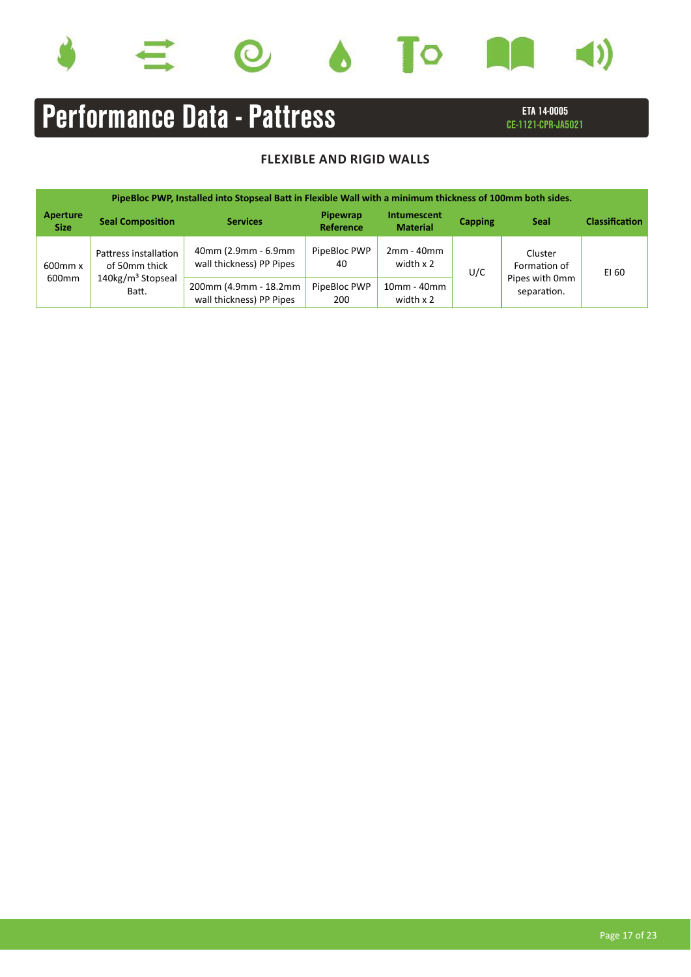







# Performance Data - Pattress

ETA 14-0005 CE-1121-CPR-JA5021

|                  |                                        | PipeBloc PWP, Installed into Stopseal Batt in Flexible Wall with a minimum thickness of 100mm both sides. |                       |                                |                |                               |                       |
|------------------|----------------------------------------|-----------------------------------------------------------------------------------------------------------|-----------------------|--------------------------------|----------------|-------------------------------|-----------------------|
| Aperture<br>Size | <b>Seal Composition</b>                | <b>Services</b>                                                                                           | Pipewrap<br>Reference | Intumescent<br><b>Material</b> | <b>Capping</b> | <b>Seal</b>                   | <b>Classification</b> |
| $600$ mm $x$     | Pattress installation<br>of 50mm thick | 40mm (2.9mm - 6.9mm<br>wall thickness) PP Pipes                                                           | PipeBloc PWP<br>40    | $2mm - 40mm$<br>width x 2      | U/C            | Cluster<br>Formation of       | EI 60                 |
| 600mm            | 140kg/m <sup>3</sup> Stopseal<br>Batt. | 200mm (4.9mm - 18.2mm<br>wall thickness) PP Pipes                                                         | PipeBloc PWP<br>200   | 10mm - 40mm<br>width $x$ 2     |                | Pipes with 0mm<br>separation. |                       |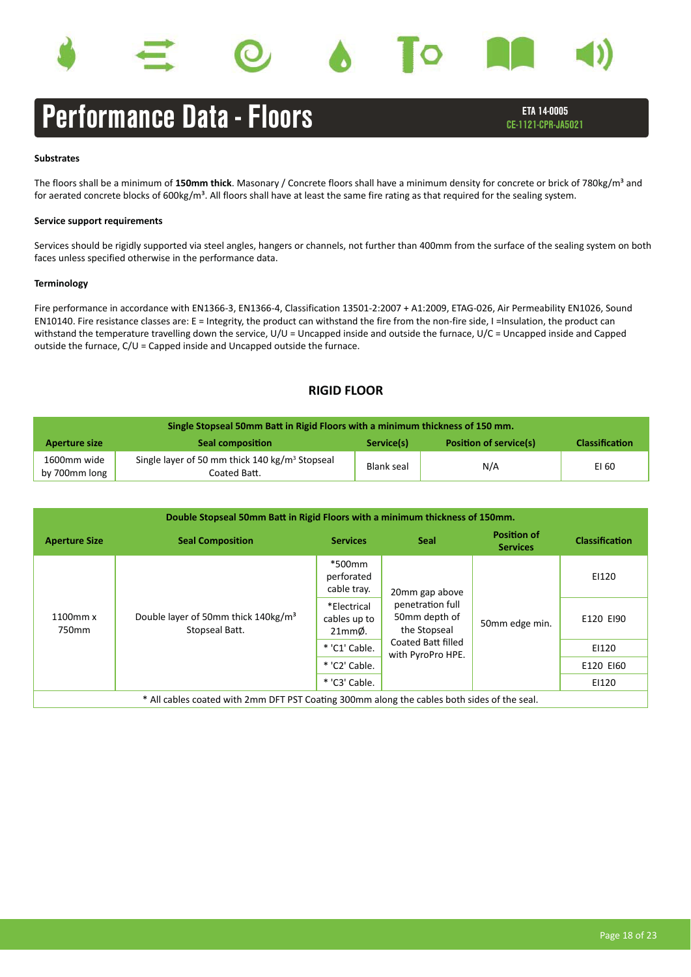









## Performance Data - Floors

ETA 14-0005 CE-1121-CPR-JA5021

### **Substrates**

The floors shall be a minimum of 150mm thick. Masonary / Concrete floors shall have a minimum density for concrete or brick of 780kg/m<sup>3</sup> and for aerated concrete blocks of 600kg/m<sup>3</sup>. All floors shall have at least the same fire rating as that required for the sealing system.

### **Service support requirements**

Services should be rigidly supported via steel angles, hangers or channels, not further than 400mm from the surface of the sealing system on both faces unless specified otherwise in the performance data.

### **Terminology**

Fire performance in accordance with EN1366-3, EN1366-4, Classification 13501-2:2007 + A1:2009, ETAG-026, Air Permeability EN1026, Sound EN10140. Fire resistance classes are: E = Integrity, the product can withstand the fire from the non-fire side, I =Insulation, the product can withstand the temperature travelling down the service, U/U = Uncapped inside and outside the furnace, U/C = Uncapped inside and Capped outside the furnace, C/U = Capped inside and Uncapped outside the furnace.

### **RIGID FLOOR**

| Single Stopseal 50mm Batt in Rigid Floors with a minimum thickness of 150 mm. |                                                                            |            |                               |                       |  |
|-------------------------------------------------------------------------------|----------------------------------------------------------------------------|------------|-------------------------------|-----------------------|--|
| Aperture size                                                                 | <b>Seal composition</b>                                                    | Service(s) | <b>Position of service(s)</b> | <b>Classification</b> |  |
| 1600mm wide<br>by 700mm long                                                  | Single layer of 50 mm thick 140 kg/m <sup>3</sup> Stopseal<br>Coated Batt. | Blank seal | N/A                           | EI 60                 |  |

| Double Stopseal 50mm Batt in Rigid Floors with a minimum thickness of 150mm.                |                                                                   |                                                  |                                                                     |                                       |                       |
|---------------------------------------------------------------------------------------------|-------------------------------------------------------------------|--------------------------------------------------|---------------------------------------------------------------------|---------------------------------------|-----------------------|
| <b>Aperture Size</b>                                                                        | <b>Seal Composition</b>                                           | <b>Services</b>                                  | <b>Seal</b>                                                         | <b>Position of</b><br><b>Services</b> | <b>Classification</b> |
| 1100mm x<br>750mm                                                                           | Double layer of 50mm thick 140kg/m <sup>3</sup><br>Stopseal Batt. | *500mm<br>perforated<br>cable tray.              | 20mm gap above<br>penetration full<br>50mm depth of<br>the Stopseal | 50mm edge min.                        | EI120                 |
|                                                                                             |                                                                   | *Electrical<br>cables up to<br>21mm <sub>o</sub> |                                                                     |                                       | E120 EI90             |
|                                                                                             |                                                                   | * 'C1' Cable.                                    | Coated Batt filled<br>with PyroPro HPE.                             |                                       | EI120                 |
|                                                                                             |                                                                   | * 'C2' Cable.                                    |                                                                     |                                       | E120 EI60             |
|                                                                                             |                                                                   | * 'C3' Cable.                                    |                                                                     |                                       | EI120                 |
| * All cables coated with 2mm DFT PST Coating 300mm along the cables both sides of the seal. |                                                                   |                                                  |                                                                     |                                       |                       |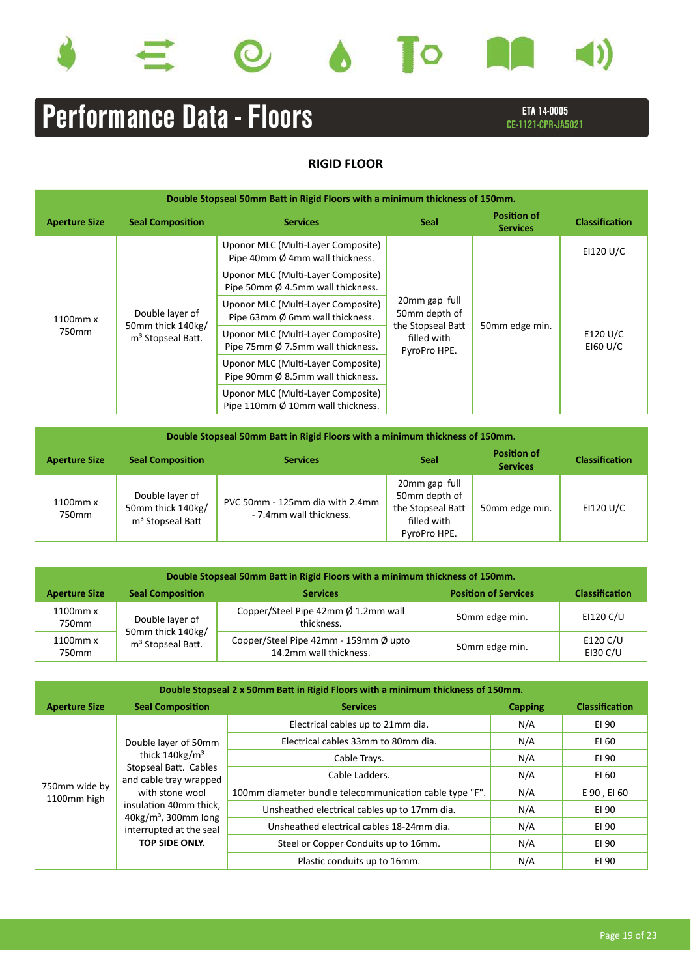









# ETA 14-0005 **Performance Data - Floors** Entertainment CE-1121-CPR-JA5021

## **RIGID FLOOR**

| Double Stopseal 50mm Batt in Rigid Floors with a minimum thickness of 150mm. |                                                                       |                                                                                   |                                                     |                       |                         |
|------------------------------------------------------------------------------|-----------------------------------------------------------------------|-----------------------------------------------------------------------------------|-----------------------------------------------------|-----------------------|-------------------------|
| <b>Seal Composition</b><br><b>Services</b><br><b>Aperture Size</b>           |                                                                       | <b>Seal</b>                                                                       | <b>Position of</b><br><b>Services</b>               | <b>Classification</b> |                         |
| 1100mm x<br>750mm                                                            | Double layer of<br>50mm thick 140kg/<br>m <sup>3</sup> Stopseal Batt. | Uponor MLC (Multi-Layer Composite)<br>Pipe 40mm Ø 4mm wall thickness.             |                                                     | 50mm edge min.        | EI120 U/C               |
|                                                                              |                                                                       | Uponor MLC (Multi-Layer Composite)<br>Pipe 50mm Ø 4.5mm wall thickness.           |                                                     |                       | E120 U/C<br>$E$ 160 U/C |
|                                                                              |                                                                       | Uponor MLC (Multi-Layer Composite)<br>Pipe 63mm Ø 6mm wall thickness.             | 20mm gap full<br>50mm depth of<br>the Stopseal Batt |                       |                         |
|                                                                              |                                                                       | Uponor MLC (Multi-Layer Composite)<br>Pipe 75mm Ø 7.5mm wall thickness.           | filled with<br>PyroPro HPE.                         |                       |                         |
|                                                                              |                                                                       | Uponor MLC (Multi-Layer Composite)<br>Pipe 90mm Ø 8.5mm wall thickness.           |                                                     |                       |                         |
|                                                                              |                                                                       | Uponor MLC (Multi-Layer Composite)<br>Pipe 110mm $\emptyset$ 10mm wall thickness. |                                                     |                       |                         |

| Double Stopseal 50mm Batt in Rigid Floors with a minimum thickness of 150mm. |                                                                      |                                                            |                                                                                    |                                       |                       |
|------------------------------------------------------------------------------|----------------------------------------------------------------------|------------------------------------------------------------|------------------------------------------------------------------------------------|---------------------------------------|-----------------------|
| <b>Aperture Size</b>                                                         | <b>Seal Composition</b>                                              | <b>Services</b>                                            | <b>Seal</b>                                                                        | <b>Position of</b><br><b>Services</b> | <b>Classification</b> |
| 1100mm x<br>750mm                                                            | Double layer of<br>50mm thick 140kg/<br>m <sup>3</sup> Stopseal Batt | PVC 50mm - 125mm dia with 2.4mm<br>- 7.4mm wall thickness. | 20mm gap full<br>50mm depth of<br>the Stopseal Batt<br>filled with<br>PyroPro HPE. | 50mm edge min.                        | EI120 U/C             |

| Double Stopseal 50mm Batt in Rigid Floors with a minimum thickness of 150mm. |                                                    |                                                                 |                             |                             |
|------------------------------------------------------------------------------|----------------------------------------------------|-----------------------------------------------------------------|-----------------------------|-----------------------------|
| <b>Aperture Size</b>                                                         | <b>Seal Composition</b>                            | <b>Services</b>                                                 | <b>Position of Services</b> | Classification              |
| 1100mm x<br>750mm                                                            | Double layer of                                    | Copper/Steel Pipe 42mm Ø 1.2mm wall<br>thickness.               | 50mm edge min.              | EI120 C/U                   |
| 1100mm x<br>750mm                                                            | 50mm thick 140kg/<br>m <sup>3</sup> Stopseal Batt. | Copper/Steel Pipe 42mm - 159mm Ø upto<br>14.2mm wall thickness. | 50mm edge min.              | E120 C/U<br><b>EI30 C/U</b> |

| Double Stopseal 2 x 50mm Batt in Rigid Floors with a minimum thickness of 150mm. |                                                                                                                                                                                                                      |                                                         |     |             |  |  |
|----------------------------------------------------------------------------------|----------------------------------------------------------------------------------------------------------------------------------------------------------------------------------------------------------------------|---------------------------------------------------------|-----|-------------|--|--|
| <b>Aperture Size</b>                                                             | Classification<br><b>Seal Composition</b><br><b>Services</b><br><b>Capping</b>                                                                                                                                       |                                                         |     |             |  |  |
|                                                                                  | Double layer of 50mm<br>thick $140$ kg/m <sup>3</sup><br>Stopseal Batt. Cables<br>and cable tray wrapped<br>with stone wool<br>insulation 40mm thick,<br>$40\mathrm{kg/m}^3$ , 300mm long<br>interrupted at the seal | Electrical cables up to 21mm dia.                       | N/A | EI 90       |  |  |
|                                                                                  |                                                                                                                                                                                                                      | Electrical cables 33mm to 80mm dia.                     | N/A | EI 60       |  |  |
|                                                                                  |                                                                                                                                                                                                                      | Cable Trays.                                            | N/A | EI 90       |  |  |
|                                                                                  |                                                                                                                                                                                                                      | Cable Ladders.                                          | N/A | EI 60       |  |  |
| 750mm wide by<br>1100mm high                                                     |                                                                                                                                                                                                                      | 100mm diameter bundle telecommunication cable type "F". | N/A | E 90, EI 60 |  |  |
|                                                                                  |                                                                                                                                                                                                                      | Unsheathed electrical cables up to 17mm dia.            | N/A | EI 90       |  |  |
|                                                                                  |                                                                                                                                                                                                                      | Unsheathed electrical cables 18-24mm dia.               | N/A | EI 90       |  |  |
|                                                                                  | <b>TOP SIDE ONLY.</b>                                                                                                                                                                                                | Steel or Copper Conduits up to 16mm.                    | N/A | EI 90       |  |  |
|                                                                                  |                                                                                                                                                                                                                      | Plastic conduits up to 16mm.                            | N/A | EI 90       |  |  |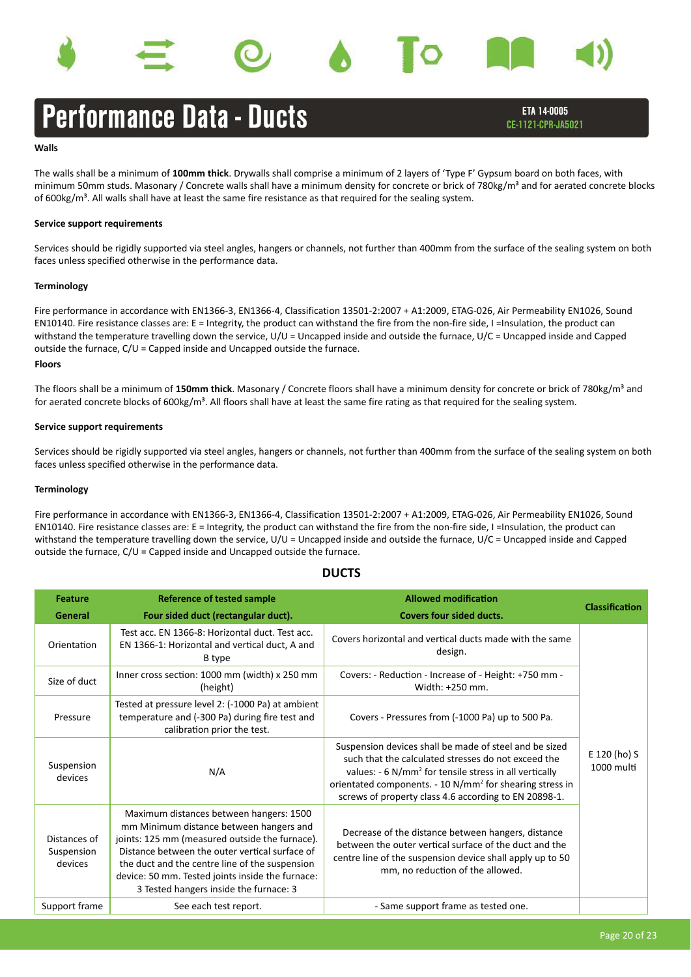

### **Walls**

The walls shall be a minimum of **100mm thick**. Drywalls shall comprise a minimum of 2 layers of 'Type F' Gypsum board on both faces, with minimum 50mm studs. Masonary / Concrete walls shall have a minimum density for concrete or brick of 780kg/m<sup>3</sup> and for aerated concrete blocks of 600kg/ $m<sup>3</sup>$ . All walls shall have at least the same fire resistance as that required for the sealing system.

### **Service support requirements**

Services should be rigidly supported via steel angles, hangers or channels, not further than 400mm from the surface of the sealing system on both faces unless specified otherwise in the performance data.

### **Terminology**

**Floors** Fire performance in accordance with EN1366-3, EN1366-4, Classification 13501-2:2007 + A1:2009, ETAG-026, Air Permeability EN1026, Sound EN10140. Fire resistance classes are: E = Integrity, the product can withstand the fire from the non-fire side, I =Insulation, the product can withstand the temperature travelling down the service, U/U = Uncapped inside and outside the furnace, U/C = Uncapped inside and Capped outside the furnace, C/U = Capped inside and Uncapped outside the furnace.

The floors shall be a minimum of 150mm thick. Masonary / Concrete floors shall have a minimum density for concrete or brick of 780kg/m<sup>3</sup> and for aerated concrete blocks of 600kg/m<sup>3</sup>. All floors shall have at least the same fire rating as that required for the sealing system.

### **Service support requirements**

Services should be rigidly supported via steel angles, hangers or channels, not further than 400mm from the surface of the sealing system on both faces unless specified otherwise in the performance data.

### **Terminology**

Fire performance in accordance with EN1366-3, EN1366-4, Classification 13501-2:2007 + A1:2009, ETAG-026, Air Permeability EN1026, Sound EN10140. Fire resistance classes are: E = Integrity, the product can withstand the fire from the non-fire side, I =Insulation, the product can withstand the temperature travelling down the service, U/U = Uncapped inside and outside the furnace, U/C = Uncapped inside and Capped outside the furnace, C/U = Capped inside and Uncapped outside the furnace.

### **DUCTS**

| <b>Feature</b>                        | <b>Reference of tested sample</b>                                                                                                                                                                                                                                                                                                      | <b>Allowed modification</b>                                                                                                                                                                                                                                                                                          | <b>Classification</b>      |
|---------------------------------------|----------------------------------------------------------------------------------------------------------------------------------------------------------------------------------------------------------------------------------------------------------------------------------------------------------------------------------------|----------------------------------------------------------------------------------------------------------------------------------------------------------------------------------------------------------------------------------------------------------------------------------------------------------------------|----------------------------|
| General                               | Four sided duct (rectangular duct).                                                                                                                                                                                                                                                                                                    | <b>Covers four sided ducts.</b>                                                                                                                                                                                                                                                                                      |                            |
| Orientation                           | Test acc. EN 1366-8: Horizontal duct. Test acc.<br>EN 1366-1: Horizontal and vertical duct, A and<br>B type                                                                                                                                                                                                                            | Covers horizontal and vertical ducts made with the same<br>design.                                                                                                                                                                                                                                                   |                            |
| Size of duct                          | Inner cross section: 1000 mm (width) x 250 mm<br>(height)                                                                                                                                                                                                                                                                              | Covers: - Reduction - Increase of - Height: +750 mm -<br>Width: +250 mm.                                                                                                                                                                                                                                             |                            |
| Pressure                              | Tested at pressure level 2: (-1000 Pa) at ambient<br>temperature and (-300 Pa) during fire test and<br>calibration prior the test.                                                                                                                                                                                                     | Covers - Pressures from (-1000 Pa) up to 500 Pa.                                                                                                                                                                                                                                                                     |                            |
| Suspension<br>devices                 | N/A                                                                                                                                                                                                                                                                                                                                    | Suspension devices shall be made of steel and be sized<br>such that the calculated stresses do not exceed the<br>values: - 6 N/mm <sup>2</sup> for tensile stress in all vertically<br>orientated components. - 10 N/mm <sup>2</sup> for shearing stress in<br>screws of property class 4.6 according to EN 20898-1. | E 120 (ho) S<br>1000 multi |
| Distances of<br>Suspension<br>devices | Maximum distances between hangers: 1500<br>mm Minimum distance between hangers and<br>joints: 125 mm (measured outside the furnace).<br>Distance between the outer vertical surface of<br>the duct and the centre line of the suspension<br>device: 50 mm. Tested joints inside the furnace:<br>3 Tested hangers inside the furnace: 3 | Decrease of the distance between hangers, distance<br>between the outer vertical surface of the duct and the<br>centre line of the suspension device shall apply up to 50<br>mm, no reduction of the allowed.                                                                                                        |                            |
| Support frame                         | See each test report.                                                                                                                                                                                                                                                                                                                  | - Same support frame as tested one.                                                                                                                                                                                                                                                                                  |                            |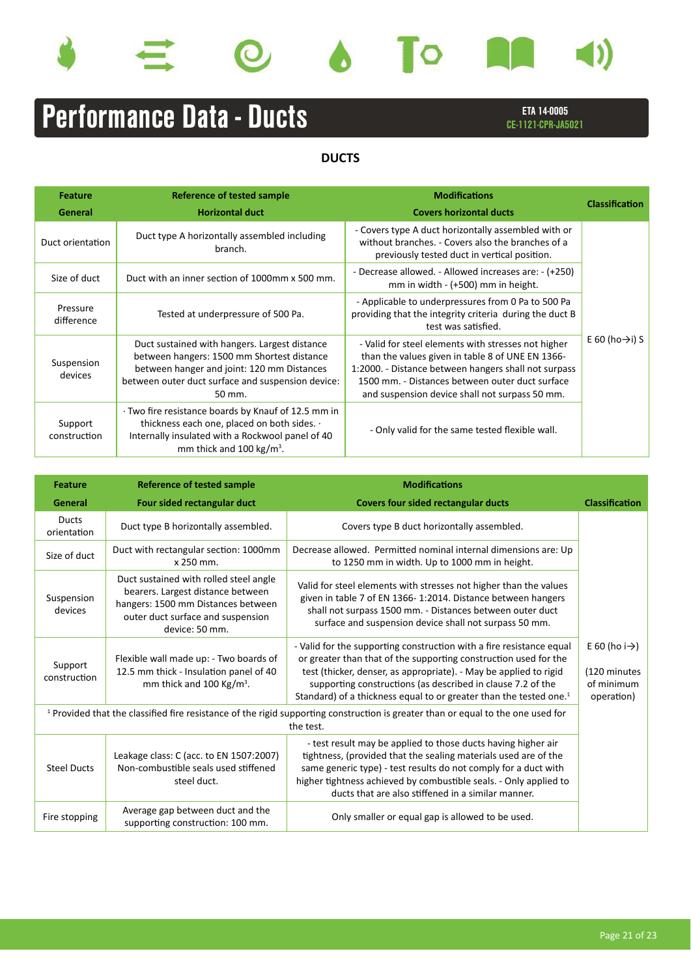









# Performance Data - Ducts

ETA 14-0005 CE-1121-CPR-JA5021

**DUCTS**

| <b>Feature</b><br>General | Reference of tested sample<br><b>Horizontal duct</b>                                                                                                                                                     | <b>Modifications</b><br><b>Covers horizontal ducts</b>                                                                                                                                                                                                               | <b>Classification</b>       |
|---------------------------|----------------------------------------------------------------------------------------------------------------------------------------------------------------------------------------------------------|----------------------------------------------------------------------------------------------------------------------------------------------------------------------------------------------------------------------------------------------------------------------|-----------------------------|
| Duct orientation          | Duct type A horizontally assembled including<br>branch.                                                                                                                                                  | - Covers type A duct horizontally assembled with or<br>without branches. - Covers also the branches of a<br>previously tested duct in vertical position.                                                                                                             |                             |
| Size of duct              | Duct with an inner section of 1000mm x 500 mm.                                                                                                                                                           | - Decrease allowed. - Allowed increases are: - (+250)<br>mm in width $ (+500)$ mm in height.                                                                                                                                                                         |                             |
| Pressure<br>difference    | Tested at underpressure of 500 Pa.                                                                                                                                                                       | - Applicable to underpressures from 0 Pa to 500 Pa<br>providing that the integrity criteria during the duct B<br>test was satisfied.                                                                                                                                 |                             |
| Suspension<br>devices     | Duct sustained with hangers. Largest distance<br>between hangers: 1500 mm Shortest distance<br>between hanger and joint: 120 mm Distances<br>between outer duct surface and suspension device:<br>50 mm. | - Valid for steel elements with stresses not higher<br>than the values given in table 8 of UNE EN 1366-<br>1:2000. - Distance between hangers shall not surpass<br>1500 mm. - Distances between outer duct surface<br>and suspension device shall not surpass 50 mm. | E 60 (ho $\rightarrow$ i) S |
| Support<br>construction   | · Two fire resistance boards by Knauf of 12.5 mm in<br>thickness each one, placed on both sides. .<br>Internally insulated with a Rockwool panel of 40<br>mm thick and 100 kg/m <sup>3</sup> .           | - Only valid for the same tested flexible wall.                                                                                                                                                                                                                      |                             |

| <b>Feature</b>              | <b>Reference of tested sample</b>                                                                                                                                        | <b>Modifications</b>                                                                                                                                                                                                                                                                                                                                           |                                                                        |
|-----------------------------|--------------------------------------------------------------------------------------------------------------------------------------------------------------------------|----------------------------------------------------------------------------------------------------------------------------------------------------------------------------------------------------------------------------------------------------------------------------------------------------------------------------------------------------------------|------------------------------------------------------------------------|
| General                     | Four sided rectangular duct                                                                                                                                              | <b>Covers four sided rectangular ducts</b>                                                                                                                                                                                                                                                                                                                     | <b>Classification</b>                                                  |
| <b>Ducts</b><br>orientation | Duct type B horizontally assembled.                                                                                                                                      | Covers type B duct horizontally assembled.                                                                                                                                                                                                                                                                                                                     |                                                                        |
| Size of duct                | Duct with rectangular section: 1000mm<br>x 250 mm.                                                                                                                       | Decrease allowed. Permitted nominal internal dimensions are: Up<br>to 1250 mm in width. Up to 1000 mm in height.                                                                                                                                                                                                                                               |                                                                        |
| Suspension<br>devices       | Duct sustained with rolled steel angle<br>bearers. Largest distance between<br>hangers: 1500 mm Distances between<br>outer duct surface and suspension<br>device: 50 mm. | Valid for steel elements with stresses not higher than the values<br>given in table 7 of EN 1366-1:2014. Distance between hangers<br>shall not surpass 1500 mm. - Distances between outer duct<br>surface and suspension device shall not surpass 50 mm.                                                                                                       |                                                                        |
| Support<br>construction     | Flexible wall made up: - Two boards of<br>12.5 mm thick - Insulation panel of 40<br>mm thick and 100 Kg/m <sup>3</sup> .                                                 | - Valid for the supporting construction with a fire resistance equal<br>or greater than that of the supporting construction used for the<br>test (thicker, denser, as appropriate). - May be applied to rigid<br>supporting constructions (as described in clause 7.2 of the<br>Standard) of a thickness equal to or greater than the tested one. <sup>1</sup> | E 60 (ho i $\rightarrow$ )<br>(120 minutes<br>of minimum<br>operation) |
|                             |                                                                                                                                                                          | <sup>1</sup> Provided that the classified fire resistance of the rigid supporting construction is greater than or equal to the one used for<br>the test.                                                                                                                                                                                                       |                                                                        |
| <b>Steel Ducts</b>          | Leakage class: C (acc. to EN 1507:2007)<br>Non-combustible seals used stiffened<br>steel duct.                                                                           | - test result may be applied to those ducts having higher air<br>tightness, (provided that the sealing materials used are of the<br>same generic type) - test results do not comply for a duct with<br>higher tightness achieved by combustible seals. - Only applied to<br>ducts that are also stiffened in a similar manner.                                 |                                                                        |
| Fire stopping               | Average gap between duct and the<br>supporting construction: 100 mm.                                                                                                     | Only smaller or equal gap is allowed to be used.                                                                                                                                                                                                                                                                                                               |                                                                        |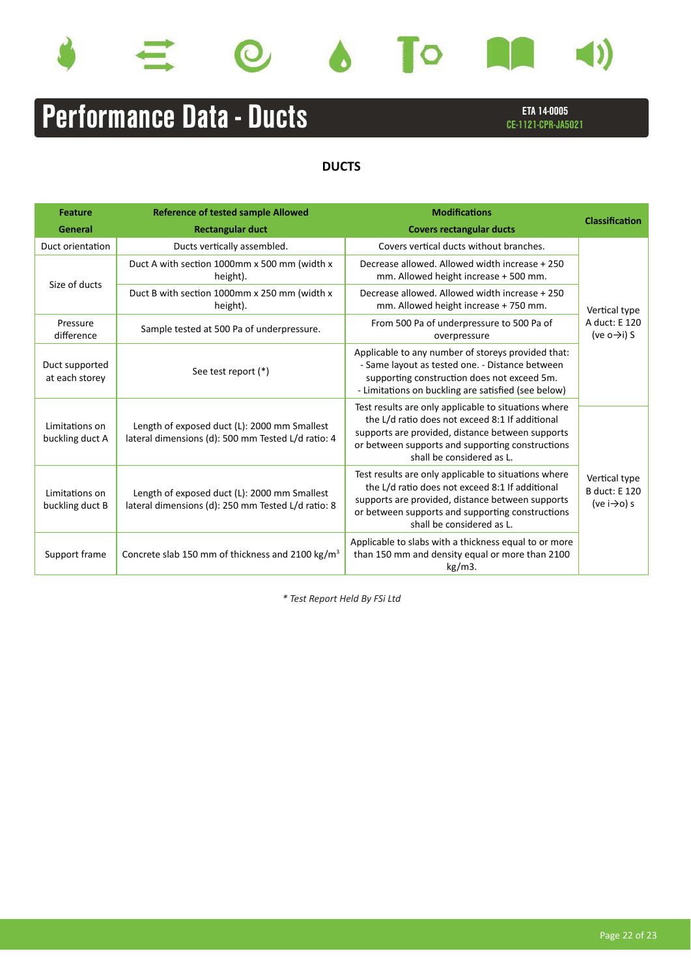









# Performance Data - Ducts

ETA 14-0005 CE-1121-CPR-JA5021

## **DUCTS**

| <b>Feature</b>                    | <b>Reference of tested sample Allowed</b>                                                          | <b>Modifications</b>                                                                                                                                                                                                                         | <b>Classification</b>                                                     |  |
|-----------------------------------|----------------------------------------------------------------------------------------------------|----------------------------------------------------------------------------------------------------------------------------------------------------------------------------------------------------------------------------------------------|---------------------------------------------------------------------------|--|
| General                           | <b>Rectangular duct</b>                                                                            | <b>Covers rectangular ducts</b>                                                                                                                                                                                                              |                                                                           |  |
| Duct orientation                  | Ducts vertically assembled.                                                                        | Covers vertical ducts without branches.                                                                                                                                                                                                      |                                                                           |  |
| Size of ducts                     | Duct A with section 1000mm x 500 mm (width x<br>height).                                           | Decrease allowed. Allowed width increase + 250<br>mm. Allowed height increase + 500 mm.                                                                                                                                                      |                                                                           |  |
|                                   | Duct B with section 1000mm x 250 mm (width x<br>height).                                           | Decrease allowed. Allowed width increase + 250<br>mm. Allowed height increase + 750 mm.                                                                                                                                                      | Vertical type                                                             |  |
| Pressure<br>difference            | Sample tested at 500 Pa of underpressure.                                                          | From 500 Pa of underpressure to 500 Pa of<br>overpressure                                                                                                                                                                                    | A duct: E 120<br>(ve $o \rightarrow i$ ) S                                |  |
| Duct supported<br>at each storey  | See test report (*)                                                                                | Applicable to any number of storeys provided that:<br>- Same layout as tested one. - Distance between<br>supporting construction does not exceed 5m.<br>- Limitations on buckling are satisfied (see below)                                  |                                                                           |  |
| Limitations on<br>buckling duct A | Length of exposed duct (L): 2000 mm Smallest<br>lateral dimensions (d): 500 mm Tested L/d ratio: 4 | Test results are only applicable to situations where<br>the L/d ratio does not exceed 8:1 If additional<br>supports are provided, distance between supports<br>or between supports and supporting constructions<br>shall be considered as L. |                                                                           |  |
| Limitations on<br>buckling duct B | Length of exposed duct (L): 2000 mm Smallest<br>lateral dimensions (d): 250 mm Tested L/d ratio: 8 | Test results are only applicable to situations where<br>the L/d ratio does not exceed 8:1 If additional<br>supports are provided, distance between supports<br>or between supports and supporting constructions<br>shall be considered as L. | Vertical type<br><b>B</b> duct: <b>E</b> 120<br>(ve $i \rightarrow o$ ) s |  |
| Support frame                     | Concrete slab 150 mm of thickness and 2100 kg/m <sup>3</sup>                                       | Applicable to slabs with a thickness equal to or more<br>than 150 mm and density equal or more than 2100<br>$kg/m3$ .                                                                                                                        |                                                                           |  |

*\* Test Report Held By FSi Ltd*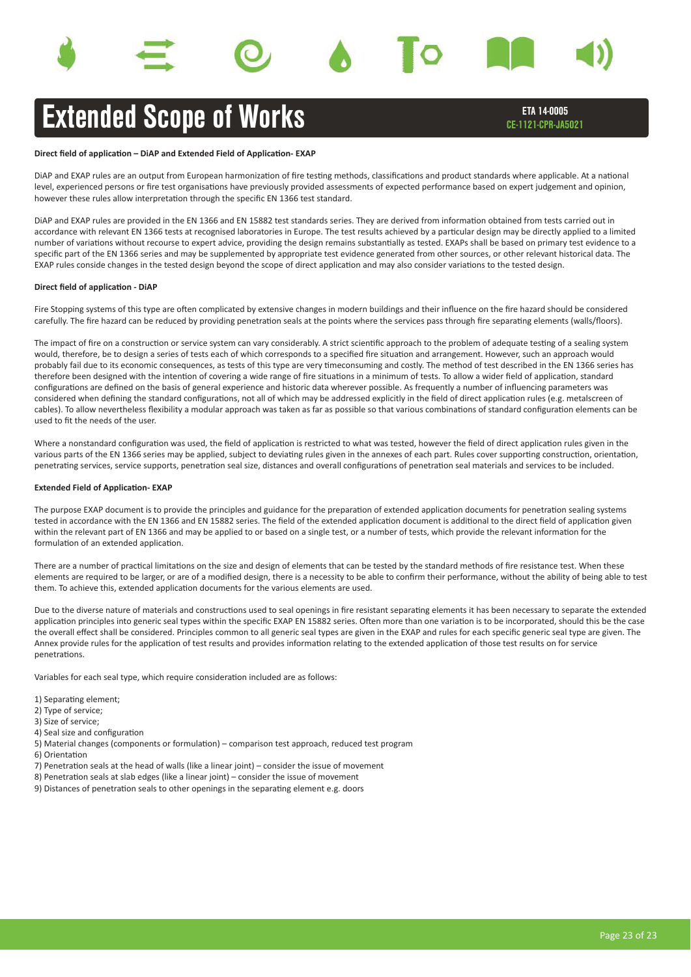# Extended Scope of Works

ETA 14-0005 CE-1121-CPR-JA5021

#### **Direct field of application – DiAP and Extended Field of Application-EXAP**

DiAP and EXAP rules are an output from European harmonization of fire testing methods, classifications and product standards where applicable. At a national level, experienced persons or fire test organisations have previously provided assessments of expected performance based on expert judgement and opinion, however these rules allow interpretation through the specific EN 1366 test standard.

DiAP and EXAP rules are provided in the EN 1366 and EN 15882 test standards series. They are derived from information obtained from tests carried out in accordance with relevant EN 1366 tests at recognised laboratories in Europe. The test results achieved by a particular design may be directly applied to a limited number of variations without recourse to expert advice, providing the design remains substantially as tested. EXAPs shall be based on primary test evidence to a specific part of the EN 1366 series and may be supplemented by appropriate test evidence generated from other sources, or other relevant historical data. The EXAP rules conside changes in the tested design beyond the scope of direct application and may also consider variations to the tested design.

#### **Direct field of application - DiAP**

Fire Stopping systems of this type are often complicated by extensive changes in modern buildings and their influence on the fire hazard should be considered carefully. The fire hazard can be reduced by providing penetration seals at the points where the services pass through fire separating elements (walls/floors).

The impact of fire on a construction or service system can vary considerably. A strict scientific approach to the problem of adequate testing of a sealing system would, therefore, be to design a series of tests each of which corresponds to a specified fire situation and arrangement. However, such an approach would probably fail due to its economic consequences, as tests of this type are very timeconsuming and costly. The method of test described in the EN 1366 series has therefore been designed with the intention of covering a wide range of fire situations in a minimum of tests. To allow a wider field of application, standard configurations are defined on the basis of general experience and historic data wherever possible. As frequently a number of influencing parameters was considered when defining the standard configurations, not all of which may be addressed explicitly in the field of direct application rules (e.g. metalscreen of cables). To allow nevertheless flexibility a modular approach was taken as far as possible so that various combinations of standard configuration elements can be used to fit the needs of the user.

Where a nonstandard configuration was used, the field of application is restricted to what was tested, however the field of direct application rules given in the various parts of the EN 1366 series may be applied, subject to deviating rules given in the annexes of each part. Rules cover supporting construction, orientation, penetrating services, service supports, penetration seal size, distances and overall configurations of penetration seal materials and services to be included.

#### **Extended Field of Application- EXAP**

The purpose EXAP document is to provide the principles and guidance for the preparation of extended application documents for penetration sealing systems tested in accordance with the EN 1366 and EN 15882 series. The field of the extended application document is additional to the direct field of application given within the relevant part of EN 1366 and may be applied to or based on a single test, or a number of tests, which provide the relevant information for the formulation of an extended application.

There are a number of practical limitations on the size and design of elements that can be tested by the standard methods of fire resistance test. When these elements are required to be larger, or are of a modified design, there is a necessity to be able to confirm their performance, without the ability of being able to test them. To achieve this, extended application documents for the various elements are used.

Due to the diverse nature of materials and constructions used to seal openings in fire resistant separating elements it has been necessary to separate the extended application principles into generic seal types within the specific EXAP EN 15882 series. Often more than one variation is to be incorporated, should this be the case the overall effect shall be considered. Principles common to all generic seal types are given in the EXAP and rules for each specific generic seal type are given. The Annex provide rules for the application of test results and provides information relating to the extended application of those test results on for service penetrations.

Variables for each seal type, which require consideration included are as follows:

- 1) Separating element;
- 2) Type of service;
- 3) Size of service;
- 4) Seal size and configuration
- 5) Material changes (components or formulation) comparison test approach, reduced test program
- 6) Orientation
- 7) Penetration seals at the head of walls (like a linear joint) consider the issue of movement
- 8) Penetration seals at slab edges (like a linear joint) consider the issue of movement
- 9) Distances of penetration seals to other openings in the separating element e.g. doors